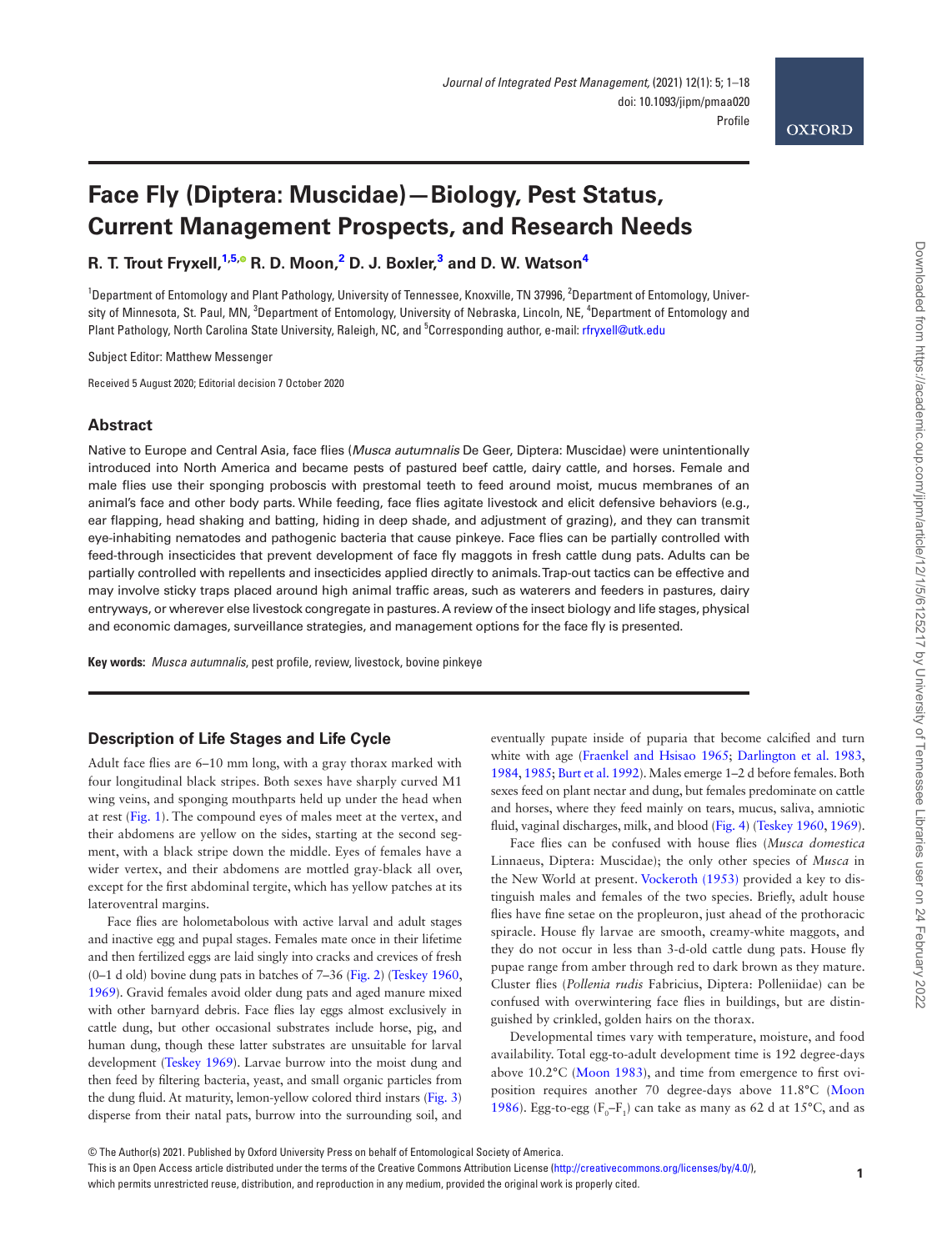# **OXFORD**

# **Face Fly (Diptera: Muscidae)—Biology, Pest Status, Current Management Prospects, and Research Needs**

**R. T. Trout Fryxell, [1](#page-0-0)[,5](#page-0-1)[,](http://orcid.org/0000-0003-2133-0220) R. D. Moon, [2](#page-0-2) D. J. Boxler, [3](#page-0-3) and D. W. Watson[4](#page-0-4)**

<span id="page-0-4"></span><span id="page-0-3"></span><span id="page-0-2"></span><span id="page-0-0"></span><sup>1</sup>Department of Entomology and Plant Pathology, University of Tennessee, Knoxville, TN 37996, <sup>2</sup>Department of Entomology, University of Minnesota, St. Paul, MN, <sup>3</sup>Department of Entomology, University of Nebraska, Lincoln, NE, <sup>4</sup>Department of Entomology and Plant Pathology, North Carolina State University, Raleigh, NC, and 5 Corresponding author, e-mail: [rfryxell@utk.edu](mailto:rfryxell@utk.edu?subject=)

<span id="page-0-1"></span>Subject Editor: Matthew Messenger

Received 5 August 2020; Editorial decision 7 October 2020

### **Abstract**

Native to Europe and Central Asia, face flies (*Musca autumnalis* De Geer, Diptera: Muscidae) were unintentionally introduced into North America and became pests of pastured beef cattle, dairy cattle, and horses. Female and male flies use their sponging proboscis with prestomal teeth to feed around moist, mucus membranes of an animal's face and other body parts. While feeding, face flies agitate livestock and elicit defensive behaviors (e.g., ear flapping, head shaking and batting, hiding in deep shade, and adjustment of grazing), and they can transmit eye-inhabiting nematodes and pathogenic bacteria that cause pinkeye. Face flies can be partially controlled with feed-through insecticides that prevent development of face fly maggots in fresh cattle dung pats. Adults can be partially controlled with repellents and insecticides applied directly to animals. Trap-out tactics can be effective and may involve sticky traps placed around high animal traffic areas, such as waterers and feeders in pastures, dairy entryways, or wherever else livestock congregate in pastures. A review of the insect biology and life stages, physical and economic damages, surveillance strategies, and management options for the face fly is presented.

**Key words:** *Musca autumnalis*, pest profile, review, livestock, bovine pinkeye

# **Description of Life Stages and Life Cycle**

Adult face flies are 6–10 mm long, with a gray thorax marked with four longitudinal black stripes. Both sexes have sharply curved M1 wing veins, and sponging mouthparts held up under the head when at rest [\(Fig. 1](#page-1-0)). The compound eyes of males meet at the vertex, and their abdomens are yellow on the sides, starting at the second segment, with a black stripe down the middle. Eyes of females have a wider vertex, and their abdomens are mottled gray-black all over, except for the first abdominal tergite, which has yellow patches at its lateroventral margins.

Face flies are holometabolous with active larval and adult stages and inactive egg and pupal stages. Females mate once in their lifetime and then fertilized eggs are laid singly into cracks and crevices of fresh (0–1 d old) bovine dung pats in batches of 7–36 [\(Fig. 2](#page-1-1)) [\(Teskey 1960](#page-17-0), [1969](#page-17-1)). Gravid females avoid older dung pats and aged manure mixed with other barnyard debris. Face flies lay eggs almost exclusively in cattle dung, but other occasional substrates include horse, pig, and human dung, though these latter substrates are unsuitable for larval development [\(Teskey 1969\)](#page-17-1). Larvae burrow into the moist dung and then feed by filtering bacteria, yeast, and small organic particles from the dung fluid. At maturity, lemon-yellow colored third instars [\(Fig. 3](#page-1-2)) disperse from their natal pats, burrow into the surrounding soil, and eventually pupate inside of puparia that become calcified and turn white with age [\(Fraenkel and Hsisao 1965](#page-14-0); [Darlington et al. 1983](#page-13-0), [1984](#page-13-1), [1985](#page-13-2); [Burt et al. 1992\)](#page-13-3). Males emerge 1–2 d before females. Both sexes feed on plant nectar and dung, but females predominate on cattle and horses, where they feed mainly on tears, mucus, saliva, amniotic fluid, vaginal discharges, milk, and blood ([Fig. 4](#page-2-0)) ([Teskey 1960](#page-17-0), [1969\)](#page-17-1).

Face flies can be confused with house flies (*Musca domestica* Linnaeus, Diptera: Muscidae); the only other species of *Musca* in the New World at present. [Vockeroth \(1953\)](#page-17-2) provided a key to distinguish males and females of the two species. Briefly, adult house flies have fine setae on the propleuron, just ahead of the prothoracic spiracle. House fly larvae are smooth, creamy-white maggots, and they do not occur in less than 3-d-old cattle dung pats. House fly pupae range from amber through red to dark brown as they mature. Cluster flies (*Pollenia rudis* Fabricius, Diptera: Polleniidae) can be confused with overwintering face flies in buildings, but are distinguished by crinkled, golden hairs on the thorax.

Developmental times vary with temperature, moisture, and food availability. Total egg-to-adult development time is 192 degree-days above 10.2°C [\(Moon 1983](#page-16-0)), and time from emergence to first oviposition requires another 70 degree-days above 11.8°C ([Moon](#page-16-1) [1986\)](#page-16-1). Egg-to-egg ( $F_0$ - $F_1$ ) can take as many as 62 d at 15°C, and as

which permits unrestricted reuse, distribution, and reproduction in any medium, provided the original work is properly cited.

This is an Open Access article distributed under the terms of the Creative Commons Attribution License ([http://creativecommons.org/licenses/by/4.0/\)](http://creativecommons.org/licenses/by/4.0/),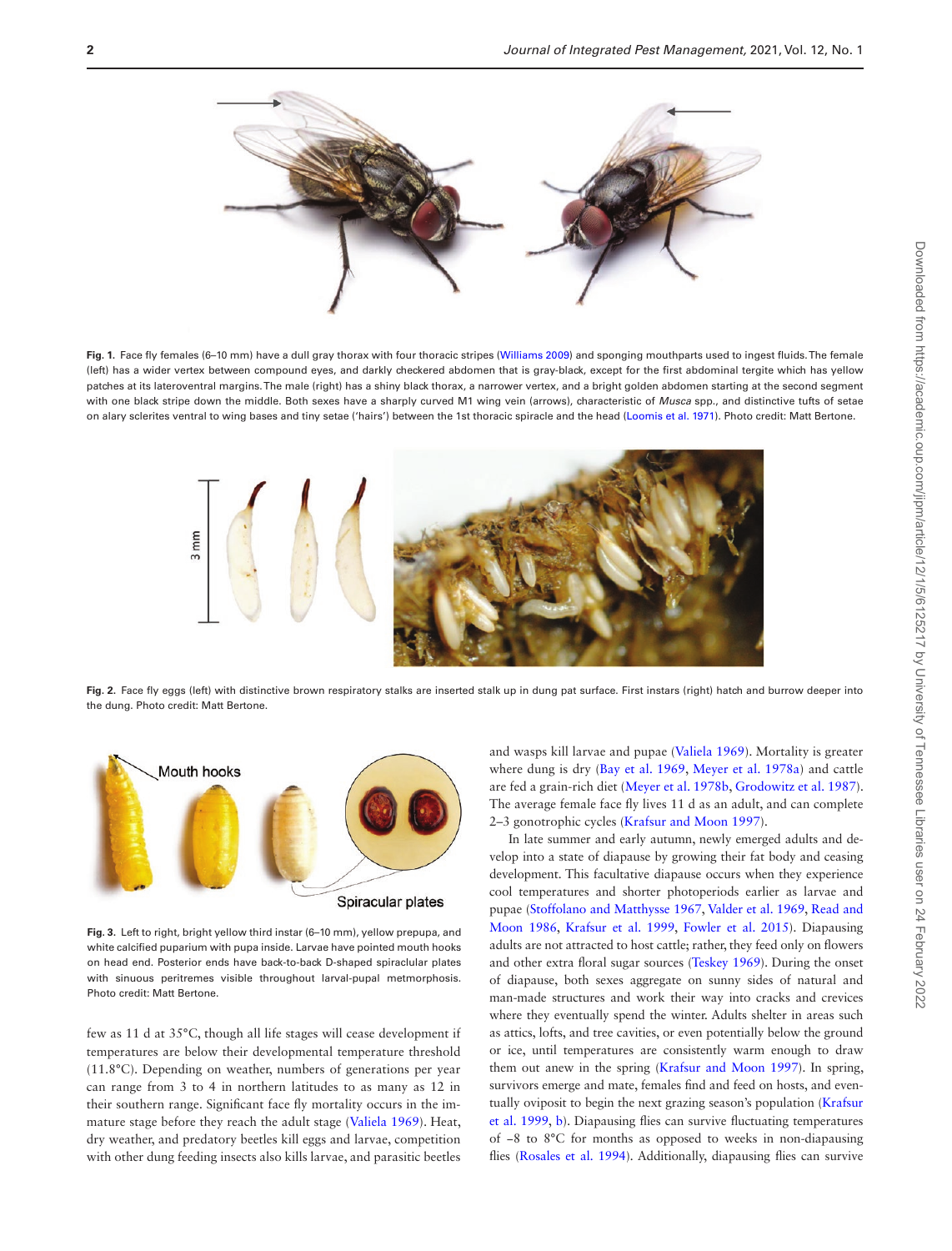

<span id="page-1-0"></span>**Fig. 1.** Face fly females (6–10 mm) have a dull gray thorax with four thoracic stripes ([Williams 2009](#page-17-6)) and sponging mouthparts used to ingest fluids. The female (left) has a wider vertex between compound eyes, and darkly checkered abdomen that is gray-black, except for the first abdominal tergite which has yellow patches at its lateroventral margins. The male (right) has a shiny black thorax, a narrower vertex, and a bright golden abdomen starting at the second segment with one black stripe down the middle. Both sexes have a sharply curved M1 wing vein (arrows), characteristic of *Musca* spp., and distinctive tufts of setae on alary sclerites ventral to wing bases and tiny setae ('hairs') between the 1st thoracic spiracle and the head [\(Loomis et al. 1971](#page-15-5)). Photo credit: Matt Bertone.



**Fig. 2.** Face fly eggs (left) with distinctive brown respiratory stalks are inserted stalk up in dung pat surface. First instars (right) hatch and burrow deeper into the dung. Photo credit: Matt Bertone.



<span id="page-1-2"></span>**Fig. 3.** Left to right, bright yellow third instar (6–10 mm), yellow prepupa, and white calcified puparium with pupa inside. Larvae have pointed mouth hooks on head end. Posterior ends have back-to-back D-shaped spiraclular plates with sinuous peritremes visible throughout larval-pupal metmorphosis. Photo credit: Matt Bertone.

few as 11 d at 35°C, though all life stages will cease development if temperatures are below their developmental temperature threshold (11.8°C). Depending on weather, numbers of generations per year can range from 3 to 4 in northern latitudes to as many as 12 in their southern range. Significant face fly mortality occurs in the immature stage before they reach the adult stage ([Valiela 1969](#page-17-3)). Heat, dry weather, and predatory beetles kill eggs and larvae, competition with other dung feeding insects also kills larvae, and parasitic beetles

<span id="page-1-1"></span>and wasps kill larvae and pupae [\(Valiela 1969\)](#page-17-3). Mortality is greater where dung is dry [\(Bay et al. 1969,](#page-12-0) [Meyer et al. 1978a](#page-15-0)) and cattle are fed a grain-rich diet [\(Meyer et al. 1978b,](#page-15-1) [Grodowitz et al. 1987\)](#page-14-1). The average female face fly lives 11 d as an adult, and can complete 2–3 gonotrophic cycles ([Krafsur and Moon 1997\)](#page-15-2).

In late summer and early autumn, newly emerged adults and develop into a state of diapause by growing their fat body and ceasing development. This facultative diapause occurs when they experience cool temperatures and shorter photoperiods earlier as larvae and pupae ([Stoffolano and Matthysse 1967,](#page-17-4) [Valder et al. 1969](#page-17-5), [Read and](#page-16-2) [Moon 1986](#page-16-2), [Krafsur et al. 1999](#page-15-3), [Fowler et al. 2015\)](#page-14-2). Diapausing adults are not attracted to host cattle; rather, they feed only on flowers and other extra floral sugar sources ([Teskey 1969\)](#page-17-1). During the onset of diapause, both sexes aggregate on sunny sides of natural and man-made structures and work their way into cracks and crevices where they eventually spend the winter. Adults shelter in areas such as attics, lofts, and tree cavities, or even potentially below the ground or ice, until temperatures are consistently warm enough to draw them out anew in the spring ([Krafsur and Moon 1997](#page-15-2)). In spring, survivors emerge and mate, females find and feed on hosts, and eventually oviposit to begin the next grazing season's population [\(Krafsur](#page-15-3) [et al. 1999](#page-15-3), [b](#page-15-4)). Diapausing flies can survive fluctuating temperatures of −8 to 8°C for months as opposed to weeks in non-diapausing flies [\(Rosales et al. 1994\)](#page-16-3). Additionally, diapausing flies can survive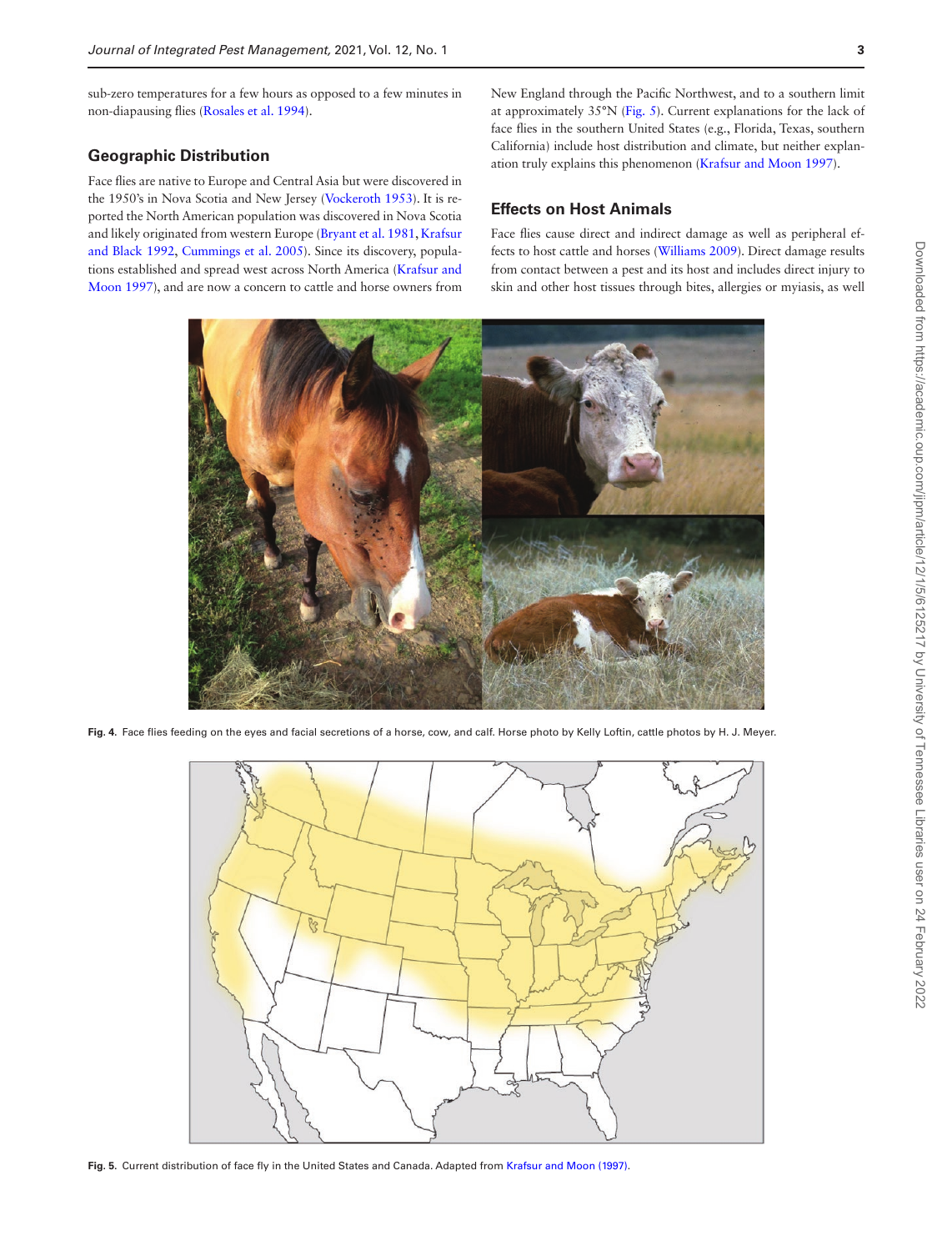sub-zero temperatures for a few hours as opposed to a few minutes in non-diapausing flies [\(Rosales et al. 1994\)](#page-16-3).

# **Geographic Distribution**

Face flies are native to Europe and Central Asia but were discovered in the 1950's in Nova Scotia and New Jersey [\(Vockeroth 1953](#page-17-2)). It is reported the North American population was discovered in Nova Scotia and likely originated from western Europe [\(Bryant et al. 1981,](#page-13-4) [Krafsur](#page-15-6) [and Black 1992](#page-15-6), [Cummings et al. 2005\)](#page-13-5). Since its discovery, populations established and spread west across North America [\(Krafsur and](#page-15-2) [Moon 1997\)](#page-15-2), and are now a concern to cattle and horse owners from New England through the Pacific Northwest, and to a southern limit at approximately 35°N [\(Fig. 5\)](#page-2-1). Current explanations for the lack of face flies in the southern United States (e.g., Florida, Texas, southern California) include host distribution and climate, but neither explanation truly explains this phenomenon ([Krafsur and Moon 1997](#page-15-2)).

# **Effects on Host Animals**

Face flies cause direct and indirect damage as well as peripheral effects to host cattle and horses ([Williams 2009](#page-17-6)). Direct damage results from contact between a pest and its host and includes direct injury to skin and other host tissues through bites, allergies or myiasis, as well



**Fig. 4.** Face flies feeding on the eyes and facial secretions of a horse, cow, and calf. Horse photo by Kelly Loftin, cattle photos by H. J. Meyer.

<span id="page-2-0"></span>

<span id="page-2-1"></span>**Fig. 5.** Current distribution of face fly in the United States and Canada. Adapted from [Krafsur and Moon \(1997\).](#page-15-2)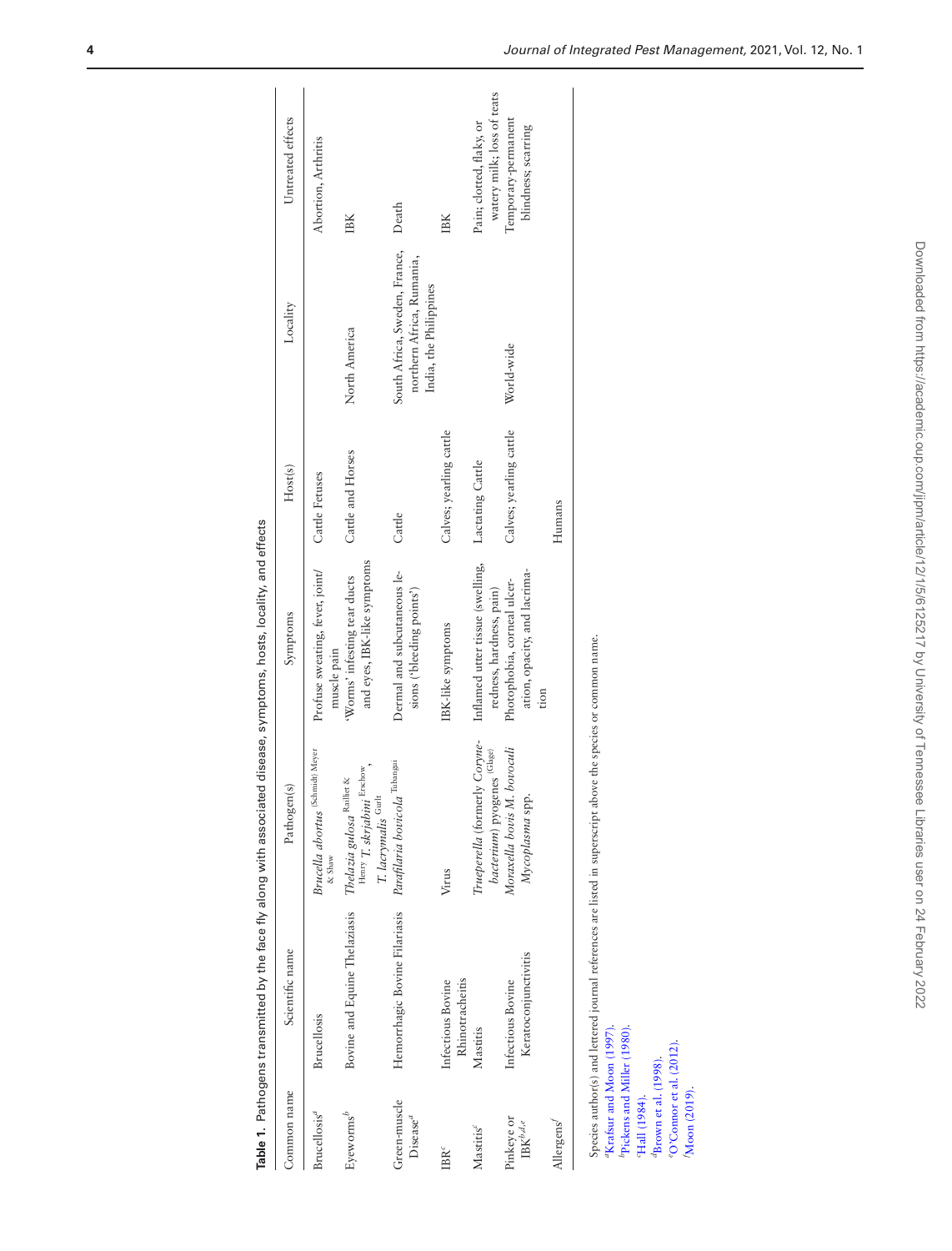|                                                         |                                                                             |                                                                                                            | Table 1. Pathogens transmitted by the face fly along with associated disease, symptoms, hosts, locality, and effects |                         |                                                                                      |                                                        |
|---------------------------------------------------------|-----------------------------------------------------------------------------|------------------------------------------------------------------------------------------------------------|----------------------------------------------------------------------------------------------------------------------|-------------------------|--------------------------------------------------------------------------------------|--------------------------------------------------------|
| Common name                                             | Scientific name                                                             | Pathogen(s)                                                                                                | Symptoms                                                                                                             | Host(s)                 | Locality                                                                             | Untreated effects                                      |
| Brucellosis <sup>a</sup>                                | <b>Brucellosis</b>                                                          | (Schmidt) Meyer<br><b>Brucella</b> abortus<br>& Shaw                                                       | Profuse sweating, fever, joint/<br>muscle pain                                                                       | Cattle Fetuses          |                                                                                      | Abortion, Arthritis                                    |
| Eyeworms <sup>b</sup>                                   | Bovine and Equine Thelaziasis                                               | Henry T. skrjabini Erschow,<br>Thelazia gulosa $\operatorname{Raillet}$ &<br>$T.$ lacrymalis $^{\rm Gurl}$ | and eyes, IBK-like symptoms<br>'Worms' infesting tear ducts                                                          | Cattle and Horses       | North America                                                                        | IBK                                                    |
| Green-muscle<br>Disease <sup>a</sup>                    | Hemorrhagic Bovine Filariasis                                               | Parafilaria bovicola Tubangui                                                                              | Dermal and subcutaneous le-<br>sions ('bleeding points')                                                             | Cattle                  | South Africa, Sweden, France,<br>northern Africa, Rumania,<br>India, the Philippines | Death                                                  |
| $\text{IBR}^c$                                          | Rhinotracheitis<br>Infectious Bovine                                        | Virus                                                                                                      | IBK-like symptoms                                                                                                    | Calves; yearling cattle |                                                                                      | IBK                                                    |
| Mastitis <sup>c</sup>                                   | Mastitis                                                                    | Trueperella (formerly Coryne-<br>bacterium) pyogenes (Glage)                                               | Inflamed utter tissue (swelling,<br>redness, hardness, pain)                                                         | Lactating Cattle        |                                                                                      | watery milk; loss of teats<br>Pain; clotted, flaky, or |
| Pinkeye or<br>$\text{IBK}^{b,d,e}$                      | Keratoconjunctivitis<br>Infectious Bovine                                   | Moraxella bovis M. bovoculi<br>Mycoplasma spp.                                                             | ation, opacity, and lacrima-<br>Photophobia, corneal ulcer-<br>tion                                                  | Calves; yearling cattle | World-wide                                                                           | Temporary-permanent<br>blindness; scarring             |
| Allergens <sup>1</sup>                                  |                                                                             |                                                                                                            |                                                                                                                      | Humans                  |                                                                                      |                                                        |
| "Krafsur and Moon (1997).                               | Species author(s) and lettered journal references are listed in superscript |                                                                                                            | above the species or common name.                                                                                    |                         |                                                                                      |                                                        |
| <sup>b</sup> Pickens and Miller (1980).<br>Hall (1984). |                                                                             |                                                                                                            |                                                                                                                      |                         |                                                                                      |                                                        |
| ${}^{d}$ Brown et al. (1998).                           |                                                                             |                                                                                                            |                                                                                                                      |                         |                                                                                      |                                                        |
| $\degree$ O'Connor et al. (2012).<br>Moon (2019).       |                                                                             |                                                                                                            |                                                                                                                      |                         |                                                                                      |                                                        |

<span id="page-3-0"></span>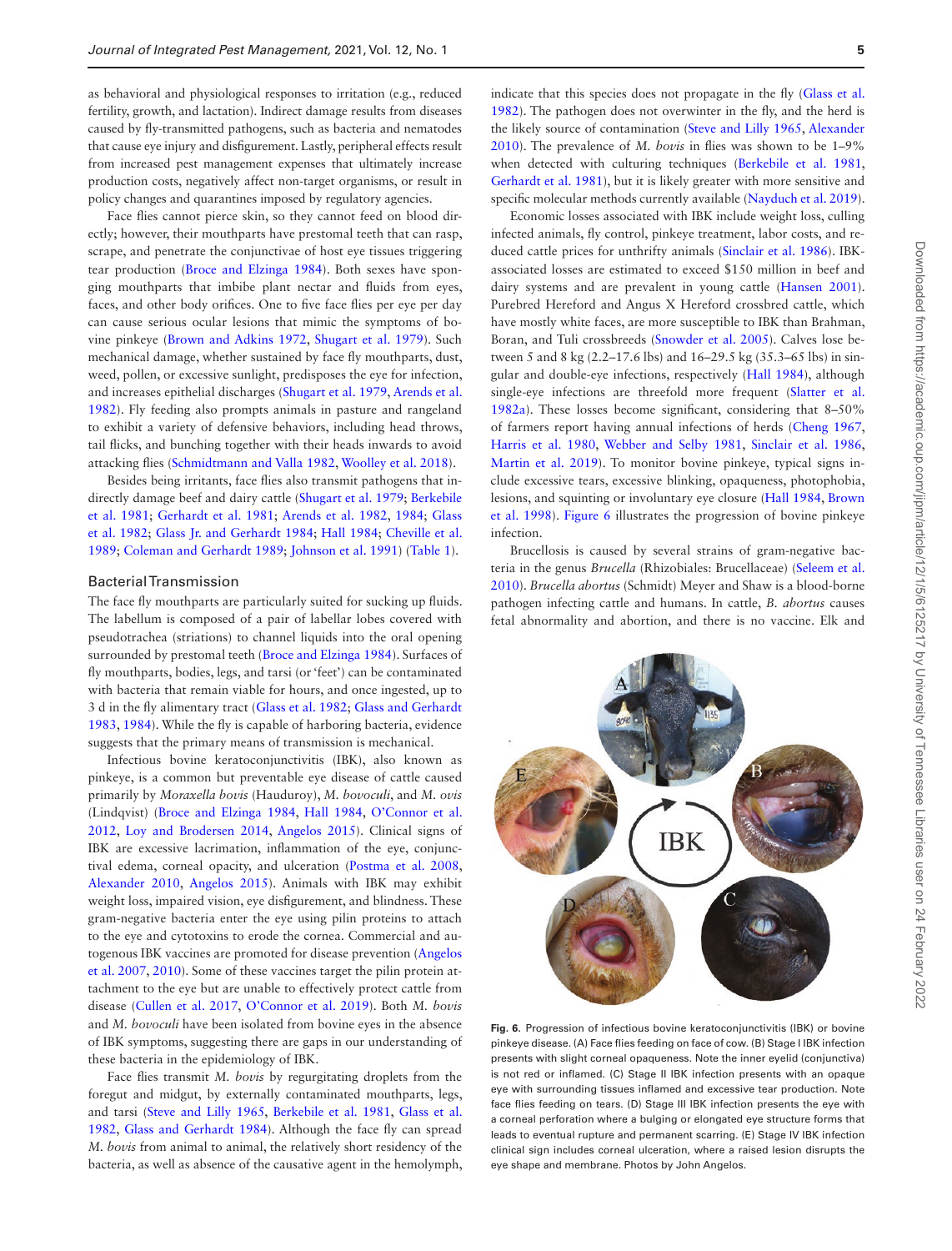as behavioral and physiological responses to irritation (e.g., reduced fertility, growth, and lactation). Indirect damage results from diseases caused by fly-transmitted pathogens, such as bacteria and nematodes that cause eye injury and disfigurement. Lastly, peripheral effects result from increased pest management expenses that ultimately increase production costs, negatively affect non-target organisms, or result in policy changes and quarantines imposed by regulatory agencies.

Face flies cannot pierce skin, so they cannot feed on blood directly; however, their mouthparts have prestomal teeth that can rasp, scrape, and penetrate the conjunctivae of host eye tissues triggering tear production [\(Broce and Elzinga 1984\)](#page-13-7). Both sexes have sponging mouthparts that imbibe plant nectar and fluids from eyes, faces, and other body orifices. One to five face flies per eye per day can cause serious ocular lesions that mimic the symptoms of bovine pinkeye ([Brown and Adkins 1972,](#page-13-8) [Shugart et al. 1979\)](#page-16-7). Such mechanical damage, whether sustained by face fly mouthparts, dust, weed, pollen, or excessive sunlight, predisposes the eye for infection, and increases epithelial discharges ([Shugart et al. 1979](#page-16-7), [Arends et al.](#page-12-1) [1982\)](#page-12-1). Fly feeding also prompts animals in pasture and rangeland to exhibit a variety of defensive behaviors, including head throws, tail flicks, and bunching together with their heads inwards to avoid attacking flies ([Schmidtmann and Valla 1982,](#page-16-8) [Woolley et al. 2018\)](#page-17-7).

Besides being irritants, face flies also transmit pathogens that indirectly damage beef and dairy cattle [\(Shugart et al. 1979;](#page-16-7) [Berkebile](#page-12-2) [et al. 1981](#page-12-2); [Gerhardt et al. 1981;](#page-14-4) [Arends et al. 1982](#page-12-1), [1984](#page-12-3); [Glass](#page-14-5) [et al. 1982;](#page-14-5) [Glass Jr. and Gerhardt 1984](#page-14-6); [Hall 1984;](#page-14-3) [Cheville et al.](#page-13-9) [1989;](#page-13-9) [Coleman and Gerhardt 1989](#page-13-10); [Johnson et al. 1991](#page-14-7)) ([Table 1](#page-3-0)).

#### Bacterial Transmission

The face fly mouthparts are particularly suited for sucking up fluids. The labellum is composed of a pair of labellar lobes covered with pseudotrachea (striations) to channel liquids into the oral opening surrounded by prestomal teeth [\(Broce and Elzinga 1984](#page-13-7)). Surfaces of fly mouthparts, bodies, legs, and tarsi (or 'feet') can be contaminated with bacteria that remain viable for hours, and once ingested, up to 3 d in the fly alimentary tract [\(Glass et al. 1982](#page-14-5); [Glass and Gerhardt](#page-14-8) [1983,](#page-14-8) [1984\)](#page-14-6). While the fly is capable of harboring bacteria, evidence suggests that the primary means of transmission is mechanical.

Infectious bovine keratoconjunctivitis (IBK), also known as pinkeye, is a common but preventable eye disease of cattle caused primarily by *Moraxella bovis* (Hauduroy), *M. bovoculi*, and *M. ovis* (Lindqvist) [\(Broce and Elzinga 1984](#page-13-7), [Hall 1984,](#page-14-3) [O'Connor et al.](#page-16-5) [2012,](#page-16-5) [Loy and Brodersen 2014](#page-15-7), [Angelos 2015\)](#page-12-4). Clinical signs of IBK are excessive lacrimation, inflammation of the eye, conjunctival edema, corneal opacity, and ulceration ([Postma et al. 2008](#page-16-9), [Alexander 2010,](#page-12-5) [Angelos 2015\)](#page-12-4). Animals with IBK may exhibit weight loss, impaired vision, eye disfigurement, and blindness. These gram-negative bacteria enter the eye using pilin proteins to attach to the eye and cytotoxins to erode the cornea. Commercial and autogenous IBK vaccines are promoted for disease prevention ([Angelos](#page-12-6) [et al. 2007,](#page-12-6) [2010](#page-12-7)). Some of these vaccines target the pilin protein attachment to the eye but are unable to effectively protect cattle from disease ([Cullen et al. 2017,](#page-13-11) [O'Connor et al. 2019\)](#page-15-8). Both *M. bovis* and *M. bovoculi* have been isolated from bovine eyes in the absence of IBK symptoms, suggesting there are gaps in our understanding of these bacteria in the epidemiology of IBK.

Face flies transmit *M. bovis* by regurgitating droplets from the foregut and midgut, by externally contaminated mouthparts, legs, and tarsi [\(Steve and Lilly 1965,](#page-17-8) [Berkebile et al. 1981](#page-12-2), [Glass et al.](#page-14-5) [1982,](#page-14-5) [Glass and Gerhardt 1984](#page-14-6)). Although the face fly can spread *M. bovis* from animal to animal, the relatively short residency of the bacteria, as well as absence of the causative agent in the hemolymph, indicate that this species does not propagate in the fly [\(Glass et al.](#page-14-5) [1982\)](#page-14-5). The pathogen does not overwinter in the fly, and the herd is the likely source of contamination [\(Steve and Lilly 1965,](#page-17-8) [Alexander](#page-12-5) [2010\)](#page-12-5). The prevalence of *M. bovis* in flies was shown to be 1–9% when detected with culturing techniques ([Berkebile et al. 1981](#page-12-2), [Gerhardt et al. 1981](#page-14-4)), but it is likely greater with more sensitive and specific molecular methods currently available ([Nayduch et al. 2019\)](#page-16-10).

Economic losses associated with IBK include weight loss, culling infected animals, fly control, pinkeye treatment, labor costs, and reduced cattle prices for unthrifty animals [\(Sinclair et al. 1986\)](#page-17-9). IBKassociated losses are estimated to exceed \$150 million in beef and dairy systems and are prevalent in young cattle [\(Hansen 2001](#page-14-9)). Purebred Hereford and Angus X Hereford crossbred cattle, which have mostly white faces, are more susceptible to IBK than Brahman, Boran, and Tuli crossbreeds ([Snowder et al. 2005](#page-17-10)). Calves lose between 5 and 8 kg (2.2–17.6 lbs) and 16–29.5 kg (35.3–65 lbs) in singular and double-eye infections, respectively [\(Hall 1984\)](#page-14-3), although single-eye infections are threefold more frequent ([Slatter et al.](#page-17-11) [1982a\)](#page-17-11). These losses become significant, considering that 8–50% of farmers report having annual infections of herds ([Cheng 1967](#page-13-12), [Harris et al. 1980,](#page-14-10) [Webber and Selby 1981](#page-17-12), [Sinclair et al. 1986](#page-17-9), Martin et al. 2019). To monitor bovine pinkeye, typical signs include excessive tears, excessive blinking, opaqueness, photophobia, lesions, and squinting or involuntary eye closure ([Hall 1984,](#page-14-3) [Brown](#page-13-6) [et al. 1998](#page-13-6)). [Figure 6](#page-4-0) illustrates the progression of bovine pinkeye infection.

Brucellosis is caused by several strains of gram-negative bacteria in the genus *Brucella* (Rhizobiales: Brucellaceae) [\(Seleem et al.](#page-16-11) [2010\)](#page-16-11). *Brucella abortus* (Schmidt) Meyer and Shaw is a blood-borne pathogen infecting cattle and humans. In cattle, *B. abortus* causes fetal abnormality and abortion, and there is no vaccine. Elk and



<span id="page-4-0"></span>**Fig. 6.** Progression of infectious bovine keratoconjunctivitis (IBK) or bovine pinkeye disease. (A) Face flies feeding on face of cow. (B) Stage I IBK infection presents with slight corneal opaqueness. Note the inner eyelid (conjunctiva) is not red or inflamed. (C) Stage II IBK infection presents with an opaque eye with surrounding tissues inflamed and excessive tear production. Note face flies feeding on tears. (D) Stage III IBK infection presents the eye with a corneal perforation where a bulging or elongated eye structure forms that leads to eventual rupture and permanent scarring. (E) Stage IV IBK infection clinical sign includes corneal ulceration, where a raised lesion disrupts the eye shape and membrane. Photos by John Angelos.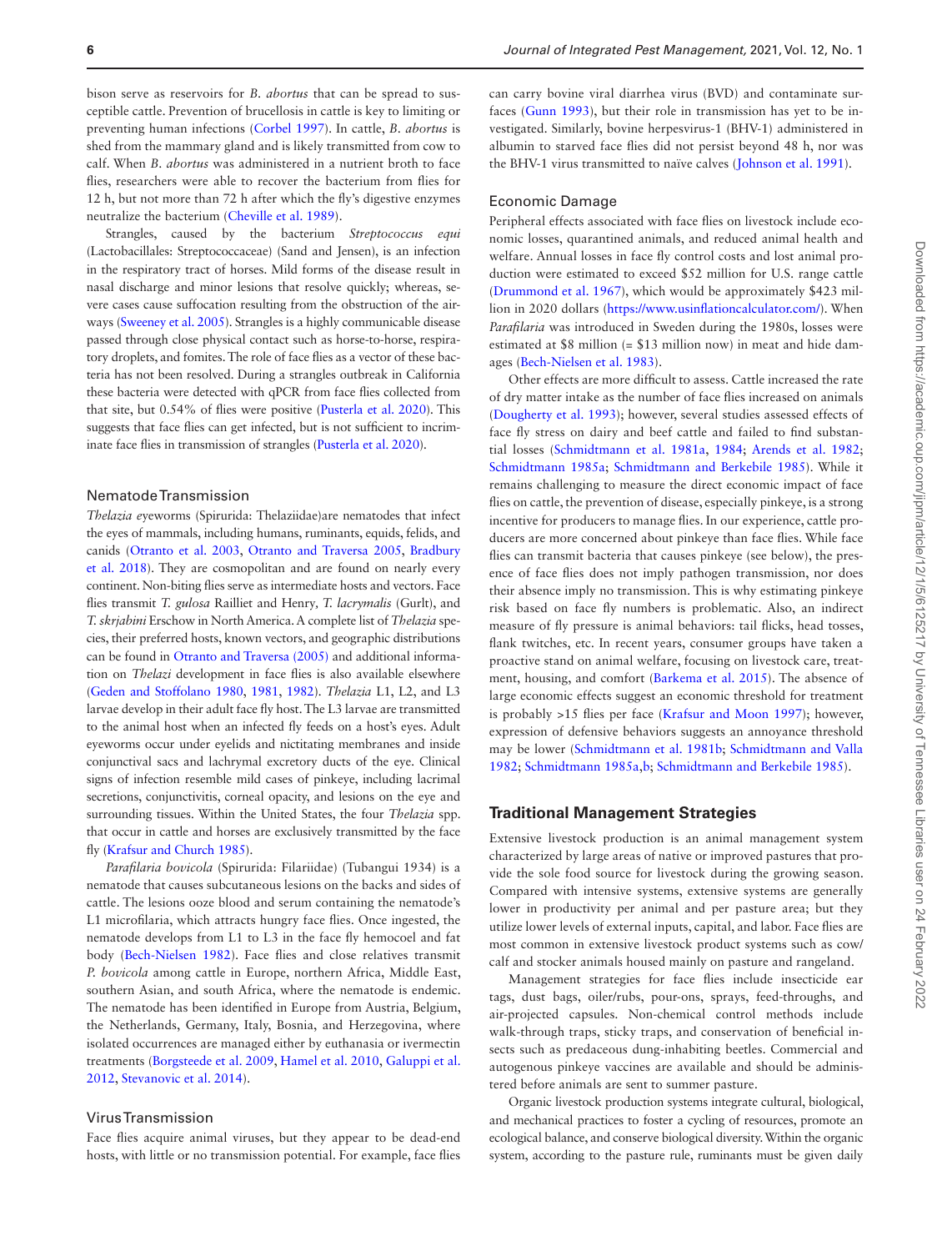bison serve as reservoirs for *B. abortus* that can be spread to susceptible cattle. Prevention of brucellosis in cattle is key to limiting or preventing human infections ([Corbel 1997\)](#page-13-13). In cattle, *B. abortus* is shed from the mammary gland and is likely transmitted from cow to calf. When *B. abortus* was administered in a nutrient broth to face flies, researchers were able to recover the bacterium from flies for 12 h, but not more than 72 h after which the fly's digestive enzymes neutralize the bacterium ([Cheville et al. 1989](#page-13-9)).

Strangles, caused by the bacterium *Streptococcus equi* (Lactobacillales: Streptococcaceae) (Sand and Jensen), is an infection in the respiratory tract of horses. Mild forms of the disease result in nasal discharge and minor lesions that resolve quickly; whereas, severe cases cause suffocation resulting from the obstruction of the airways [\(Sweeney et al. 2005\)](#page-17-13). Strangles is a highly communicable disease passed through close physical contact such as horse-to-horse, respiratory droplets, and fomites. The role of face flies as a vector of these bacteria has not been resolved. During a strangles outbreak in California these bacteria were detected with qPCR from face flies collected from that site, but 0.54% of flies were positive ([Pusterla et al. 2020\)](#page-16-12). This suggests that face flies can get infected, but is not sufficient to incriminate face flies in transmission of strangles [\(Pusterla et al. 2020](#page-16-12)).

### Nematode Transmission

*Thelazia e*yeworms (Spirurida: Thelaziidae)are nematodes that infect the eyes of mammals, including humans, ruminants, equids, felids, and canids [\(Otranto et al. 2003,](#page-16-13) [Otranto and Traversa 2005](#page-16-14), [Bradbury](#page-13-14) [et al. 2018\)](#page-13-14). They are cosmopolitan and are found on nearly every continent. Non-biting flies serve as intermediate hosts and vectors. Face flies transmit *T. gulosa* Railliet and Henry*, T. lacrymalis* (Gurlt), and *T. skrjabini* Erschow in North America. A complete list of *Thelazia* species, their preferred hosts, known vectors, and geographic distributions can be found in [Otranto and Traversa \(2005\)](#page-16-14) and additional information on *Thelazi* development in face flies is also available elsewhere ([Geden and Stoffolano 1980](#page-14-11), [1981](#page-14-12), [1982\)](#page-14-13). *Thelazia* L1, L2, and L3 larvae develop in their adult face fly host. The L3 larvae are transmitted to the animal host when an infected fly feeds on a host's eyes. Adult eyeworms occur under eyelids and nictitating membranes and inside conjunctival sacs and lachrymal excretory ducts of the eye. Clinical signs of infection resemble mild cases of pinkeye, including lacrimal secretions, conjunctivitis, corneal opacity, and lesions on the eye and surrounding tissues. Within the United States, the four *Thelazia* spp. that occur in cattle and horses are exclusively transmitted by the face fly [\(Krafsur and Church 1985\)](#page-15-10).

*Parafilaria bovicola* (Spirurida: Filariidae) (Tubangui 1934) is a nematode that causes subcutaneous lesions on the backs and sides of cattle. The lesions ooze blood and serum containing the nematode's L1 microfilaria, which attracts hungry face flies. Once ingested, the nematode develops from L1 to L3 in the face fly hemocoel and fat body ([Bech-Nielsen 1982](#page-12-8)). Face flies and close relatives transmit *P. bovicola* among cattle in Europe, northern Africa, Middle East, southern Asian, and south Africa, where the nematode is endemic. The nematode has been identified in Europe from Austria, Belgium, the Netherlands, Germany, Italy, Bosnia, and Herzegovina, where isolated occurrences are managed either by euthanasia or ivermectin treatments [\(Borgsteede et al. 2009](#page-13-15), [Hamel et al. 2010](#page-14-14), [Galuppi et al.](#page-14-15) [2012,](#page-14-15) [Stevanovic et al. 2014\)](#page-17-14).

# Virus Transmission

Face flies acquire animal viruses, but they appear to be dead-end hosts, with little or no transmission potential. For example, face flies

can carry bovine viral diarrhea virus (BVD) and contaminate surfaces ([Gunn 1993\)](#page-14-16), but their role in transmission has yet to be investigated. Similarly, bovine herpesvirus-1 (BHV-1) administered in albumin to starved face flies did not persist beyond 48 h, nor was the BHV-1 virus transmitted to naïve calves ([Johnson et al. 1991](#page-14-7)).

# Economic Damage

Peripheral effects associated with face flies on livestock include economic losses, quarantined animals, and reduced animal health and welfare. Annual losses in face fly control costs and lost animal production were estimated to exceed \$52 million for U.S. range cattle ([Drummond et al. 1967\)](#page-13-16), which would be approximately \$423 million in 2020 dollars ([https://www.usinflationcalculator.com/\)](https://www.usinflationcalculator.com/). When *Parafilaria* was introduced in Sweden during the 1980s, losses were estimated at \$8 million (= \$13 million now) in meat and hide damages ([Bech-Nielsen et al. 1983](#page-12-9)).

Other effects are more difficult to assess. Cattle increased the rate of dry matter intake as the number of face flies increased on animals ([Dougherty et al. 1993\)](#page-13-17); however, several studies assessed effects of face fly stress on dairy and beef cattle and failed to find substantial losses ([Schmidtmann et al. 1981a](#page-16-15), [1984;](#page-16-16) [Arends et al. 1982;](#page-12-1) [Schmidtmann 1985a;](#page-16-17) [Schmidtmann and Berkebile 1985](#page-16-18)). While it remains challenging to measure the direct economic impact of face flies on cattle, the prevention of disease, especially pinkeye, is a strong incentive for producers to manage flies. In our experience, cattle producers are more concerned about pinkeye than face flies. While face flies can transmit bacteria that causes pinkeye (see below), the presence of face flies does not imply pathogen transmission, nor does their absence imply no transmission. This is why estimating pinkeye risk based on face fly numbers is problematic. Also, an indirect measure of fly pressure is animal behaviors: tail flicks, head tosses, flank twitches, etc. In recent years, consumer groups have taken a proactive stand on animal welfare, focusing on livestock care, treatment, housing, and comfort ([Barkema et al. 2015](#page-12-10)). The absence of large economic effects suggest an economic threshold for treatment is probably >15 flies per face ([Krafsur and Moon 1997\)](#page-15-2); however, expression of defensive behaviors suggests an annoyance threshold may be lower [\(Schmidtmann et al. 1981b;](#page-16-19) [Schmidtmann and Valla](#page-16-8) [1982;](#page-16-8) [Schmidtmann 1985a](#page-16-17)[,b;](#page-16-20) [Schmidtmann and Berkebile 1985\)](#page-16-18).

# **Traditional Management Strategies**

Extensive livestock production is an animal management system characterized by large areas of native or improved pastures that provide the sole food source for livestock during the growing season. Compared with intensive systems, extensive systems are generally lower in productivity per animal and per pasture area; but they utilize lower levels of external inputs, capital, and labor. Face flies are most common in extensive livestock product systems such as cow/ calf and stocker animals housed mainly on pasture and rangeland.

Management strategies for face flies include insecticide ear tags, dust bags, oiler/rubs, pour-ons, sprays, feed-throughs, and air-projected capsules. Non-chemical control methods include walk-through traps, sticky traps, and conservation of beneficial insects such as predaceous dung-inhabiting beetles. Commercial and autogenous pinkeye vaccines are available and should be administered before animals are sent to summer pasture.

Organic livestock production systems integrate cultural, biological, and mechanical practices to foster a cycling of resources, promote an ecological balance, and conserve biological diversity. Within the organic system, according to the pasture rule, ruminants must be given daily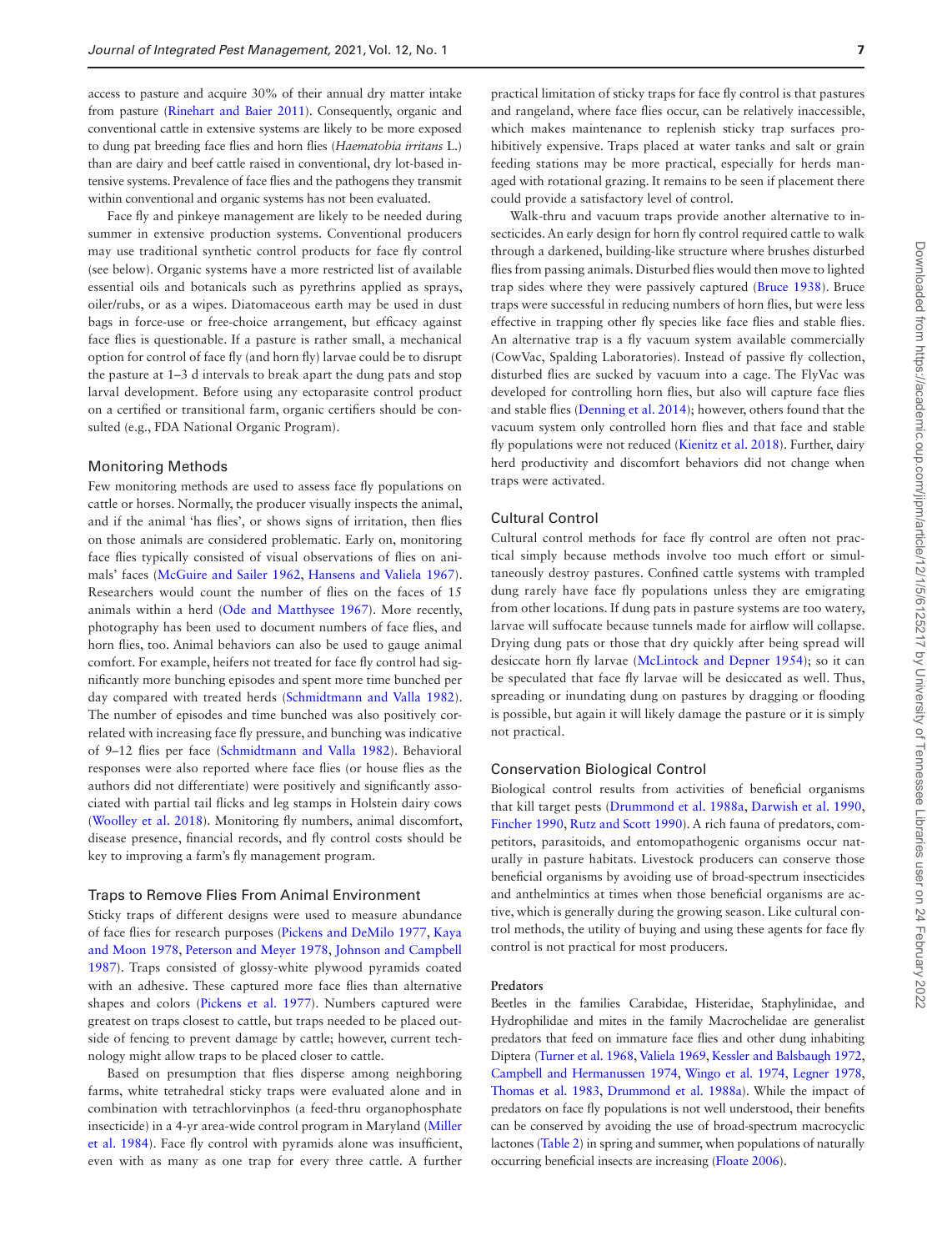access to pasture and acquire 30% of their annual dry matter intake from pasture [\(Rinehart and Baier 2011\)](#page-16-21). Consequently, organic and conventional cattle in extensive systems are likely to be more exposed to dung pat breeding face flies and horn flies (*Haematobia irritans* L.) than are dairy and beef cattle raised in conventional, dry lot-based intensive systems. Prevalence of face flies and the pathogens they transmit within conventional and organic systems has not been evaluated.

Face fly and pinkeye management are likely to be needed during summer in extensive production systems. Conventional producers may use traditional synthetic control products for face fly control (see below). Organic systems have a more restricted list of available essential oils and botanicals such as pyrethrins applied as sprays, oiler/rubs, or as a wipes. Diatomaceous earth may be used in dust bags in force-use or free-choice arrangement, but efficacy against face flies is questionable. If a pasture is rather small, a mechanical option for control of face fly (and horn fly) larvae could be to disrupt the pasture at 1–3 d intervals to break apart the dung pats and stop larval development. Before using any ectoparasite control product on a certified or transitional farm, organic certifiers should be consulted (e.g., FDA National Organic Program).

#### Monitoring Methods

Few monitoring methods are used to assess face fly populations on cattle or horses. Normally, the producer visually inspects the animal, and if the animal 'has flies', or shows signs of irritation, then flies on those animals are considered problematic. Early on, monitoring face flies typically consisted of visual observations of flies on animals' faces ([McGuire and Sailer 1962](#page-15-11), [Hansens and Valiela 1967](#page-14-17)). Researchers would count the number of flies on the faces of 15 animals within a herd [\(Ode and Matthysee 1967\)](#page-16-22). More recently, photography has been used to document numbers of face flies, and horn flies, too. Animal behaviors can also be used to gauge animal comfort. For example, heifers not treated for face fly control had significantly more bunching episodes and spent more time bunched per day compared with treated herds [\(Schmidtmann and Valla 1982](#page-16-8)). The number of episodes and time bunched was also positively correlated with increasing face fly pressure, and bunching was indicative of 9–12 flies per face [\(Schmidtmann and Valla 1982](#page-16-8)). Behavioral responses were also reported where face flies (or house flies as the authors did not differentiate) were positively and significantly associated with partial tail flicks and leg stamps in Holstein dairy cows ([Woolley et al. 2018\)](#page-17-7). Monitoring fly numbers, animal discomfort, disease presence, financial records, and fly control costs should be key to improving a farm's fly management program.

#### Traps to Remove Flies From Animal Environment

Sticky traps of different designs were used to measure abundance of face flies for research purposes [\(Pickens and DeMilo 1977,](#page-16-23) [Kaya](#page-14-18) [and Moon 1978,](#page-14-18) [Peterson and Meyer 1978](#page-16-24), [Johnson and Campbell](#page-14-19) [1987\)](#page-14-19). Traps consisted of glossy-white plywood pyramids coated with an adhesive. These captured more face flies than alternative shapes and colors [\(Pickens et al. 1977\)](#page-16-25). Numbers captured were greatest on traps closest to cattle, but traps needed to be placed outside of fencing to prevent damage by cattle; however, current technology might allow traps to be placed closer to cattle.

Based on presumption that flies disperse among neighboring farms, white tetrahedral sticky traps were evaluated alone and in combination with tetrachlorvinphos (a feed-thru organophosphate insecticide) in a 4-yr area-wide control program in Maryland ([Miller](#page-15-12) [et al. 1984](#page-15-12)). Face fly control with pyramids alone was insufficient, even with as many as one trap for every three cattle. A further

practical limitation of sticky traps for face fly control is that pastures and rangeland, where face flies occur, can be relatively inaccessible, which makes maintenance to replenish sticky trap surfaces prohibitively expensive. Traps placed at water tanks and salt or grain feeding stations may be more practical, especially for herds managed with rotational grazing. It remains to be seen if placement there could provide a satisfactory level of control.

Walk-thru and vacuum traps provide another alternative to insecticides. An early design for horn fly control required cattle to walk through a darkened, building-like structure where brushes disturbed flies from passing animals. Disturbed flies would then move to lighted trap sides where they were passively captured ([Bruce 1938](#page-13-18)). Bruce traps were successful in reducing numbers of horn flies, but were less effective in trapping other fly species like face flies and stable flies. An alternative trap is a fly vacuum system available commercially (CowVac, Spalding Laboratories). Instead of passive fly collection, disturbed flies are sucked by vacuum into a cage. The FlyVac was developed for controlling horn flies, but also will capture face flies and stable flies [\(Denning et al. 2014\)](#page-13-19); however, others found that the vacuum system only controlled horn flies and that face and stable fly populations were not reduced ([Kienitz et al. 2018\)](#page-15-13). Further, dairy herd productivity and discomfort behaviors did not change when traps were activated.

### Cultural Control

Cultural control methods for face fly control are often not practical simply because methods involve too much effort or simultaneously destroy pastures. Confined cattle systems with trampled dung rarely have face fly populations unless they are emigrating from other locations. If dung pats in pasture systems are too watery, larvae will suffocate because tunnels made for airflow will collapse. Drying dung pats or those that dry quickly after being spread will desiccate horn fly larvae ([McLintock and Depner 1954\)](#page-15-14); so it can be speculated that face fly larvae will be desiccated as well. Thus, spreading or inundating dung on pastures by dragging or flooding is possible, but again it will likely damage the pasture or it is simply not practical.

#### Conservation Biological Control

Biological control results from activities of beneficial organisms that kill target pests ([Drummond et al. 1988a,](#page-13-20) [Darwish et al. 1990](#page-13-21), [Fincher 1990,](#page-13-22) [Rutz and Scott 1990\)](#page-16-26). A rich fauna of predators, competitors, parasitoids, and entomopathogenic organisms occur naturally in pasture habitats. Livestock producers can conserve those beneficial organisms by avoiding use of broad-spectrum insecticides and anthelmintics at times when those beneficial organisms are active, which is generally during the growing season. Like cultural control methods, the utility of buying and using these agents for face fly control is not practical for most producers.

# **Predators**

Beetles in the families Carabidae, Histeridae, Staphylinidae, and Hydrophilidae and mites in the family Macrochelidae are generalist predators that feed on immature face flies and other dung inhabiting Diptera [\(Turner et al. 1968](#page-17-15), [Valiela 1969,](#page-17-3) [Kessler and Balsbaugh 1972](#page-15-15), [Campbell and Hermanussen 1974,](#page-13-23) [Wingo et al. 1974](#page-17-16), [Legner 1978](#page-15-16), [Thomas et al. 1983](#page-17-17), [Drummond et al. 1988a](#page-13-20)). While the impact of predators on face fly populations is not well understood, their benefits can be conserved by avoiding the use of broad-spectrum macrocyclic lactones [\(Table 2\)](#page-7-0) in spring and summer, when populations of naturally occurring beneficial insects are increasing [\(Floate 2006\)](#page-14-20).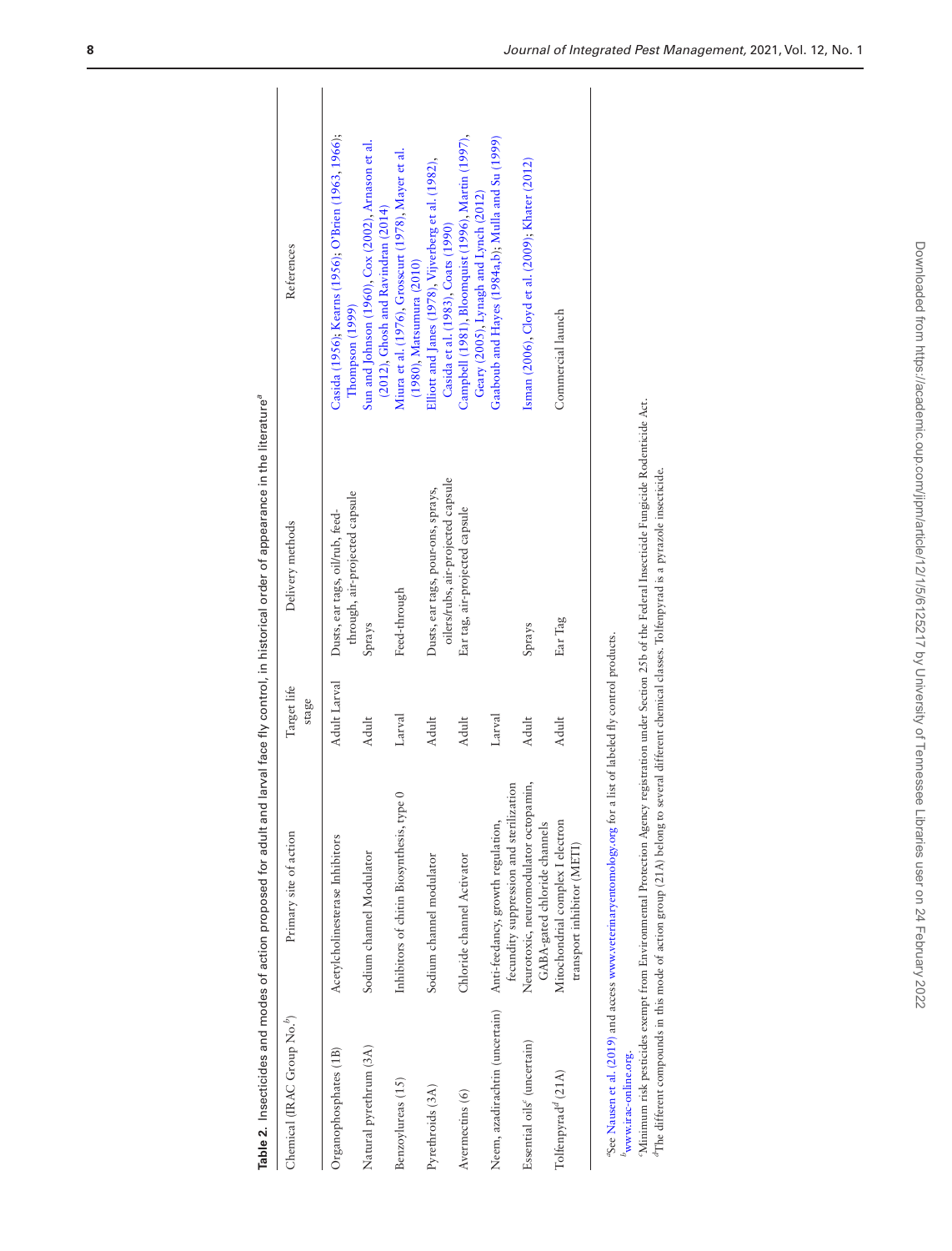|                                         | Table 2. Insecticides and modes of action proposed for adult and                                                                                                                                                                                                                                                                                                                                                |                                       | larval face fly control, in historical order of appearance in the literature <sup>a</sup> |                                                                                               |  |
|-----------------------------------------|-----------------------------------------------------------------------------------------------------------------------------------------------------------------------------------------------------------------------------------------------------------------------------------------------------------------------------------------------------------------------------------------------------------------|---------------------------------------|-------------------------------------------------------------------------------------------|-----------------------------------------------------------------------------------------------|--|
| Chemical (IRAC Group No. <sup>6</sup> ) | Primary site of action                                                                                                                                                                                                                                                                                                                                                                                          | Target life<br>stage                  | Delivery methods                                                                          | References                                                                                    |  |
| Organophosphates (1B)                   | Acetylcholinesterase Inhibitors                                                                                                                                                                                                                                                                                                                                                                                 | Adult Larval                          | through, air-projected capsule<br>Dusts, ear tags, oil/rub, feed-                         | Casida (1956); Kearns (1956); O'Brien (1963, 1966);<br>[hompson (1999)                        |  |
| Natural pyrethrum (3A)                  | Sodium channel Modulator                                                                                                                                                                                                                                                                                                                                                                                        | Adult                                 | Sprays                                                                                    | Sun and Johnson (1960), Cox (2002), Arnason et al.<br>$(2012)$ , Ghosh and Ravindran $(2014)$ |  |
| Benzoylureas (15)                       | $\circ$<br>Inhibitors of chitin Biosynthesis, type                                                                                                                                                                                                                                                                                                                                                              | Larval                                | Feed-through                                                                              | Miura et al. (1976), Grosscurt (1978), Mayer et al.<br>(1980), Matsumura (2010)               |  |
| Pyrethroids (3A)                        | Sodium channel modulator                                                                                                                                                                                                                                                                                                                                                                                        | Adult                                 | oilers/rubs, air-projected capsule<br>Dusts, ear tags, pour-ons, sprays,                  | Elliott and Janes (1978), Vijverberg et al. (1982),<br>Casida et al. (1983), Coats (1990)     |  |
| Avermectins (6)                         | Chloride channel Activator                                                                                                                                                                                                                                                                                                                                                                                      | Adult                                 | Ear tag, air-projected capsule                                                            | Campbell (1981), Bloomquist (1996), Martin (1997),<br>Geary (2005), Lynagh and Lynch (2012)   |  |
| Neem, azadirachtin (uncertain)          | fecundity suppression and sterilization<br>Anti-feedancy, growth regulation,                                                                                                                                                                                                                                                                                                                                    | Larval                                |                                                                                           | Gaaboub and Hayes (1984a,b); Mulla and Su (1999)                                              |  |
| Essential oils <sup>c</sup> (uncertain) | Neurotoxic, neuromodulator octopamin,<br>GABA-gated chloride channels                                                                                                                                                                                                                                                                                                                                           | Adult                                 | Sprays                                                                                    | Isman (2006), Cloyd et al. (2009); Khater (2012)                                              |  |
| Tolfenpyrad <sup>d</sup> (21A)          | Mitochondrial complex I electron<br>transport inhibitor (METI)                                                                                                                                                                                                                                                                                                                                                  | Adult                                 | Ear Tag                                                                                   | Commercial launch                                                                             |  |
| $b$ www.irac-online.org.                | Minimum risk pesticides exempt from Environmental Protection Agency registration under Section 25b of the Federal Insecticide Fungicide Rodenticide Act.<br><sup>d</sup> The different compounds in this mode of action group (21A) belong to several different chemical classes. Tolfenpyrad is a pyrazole insecticide.<br><sup>4</sup> See Nausen et al. (2019) and access www.veterinaryentomology.org for a | list of labeled fly control products. |                                                                                           |                                                                                               |  |
|                                         |                                                                                                                                                                                                                                                                                                                                                                                                                 |                                       |                                                                                           |                                                                                               |  |

<span id="page-7-0"></span>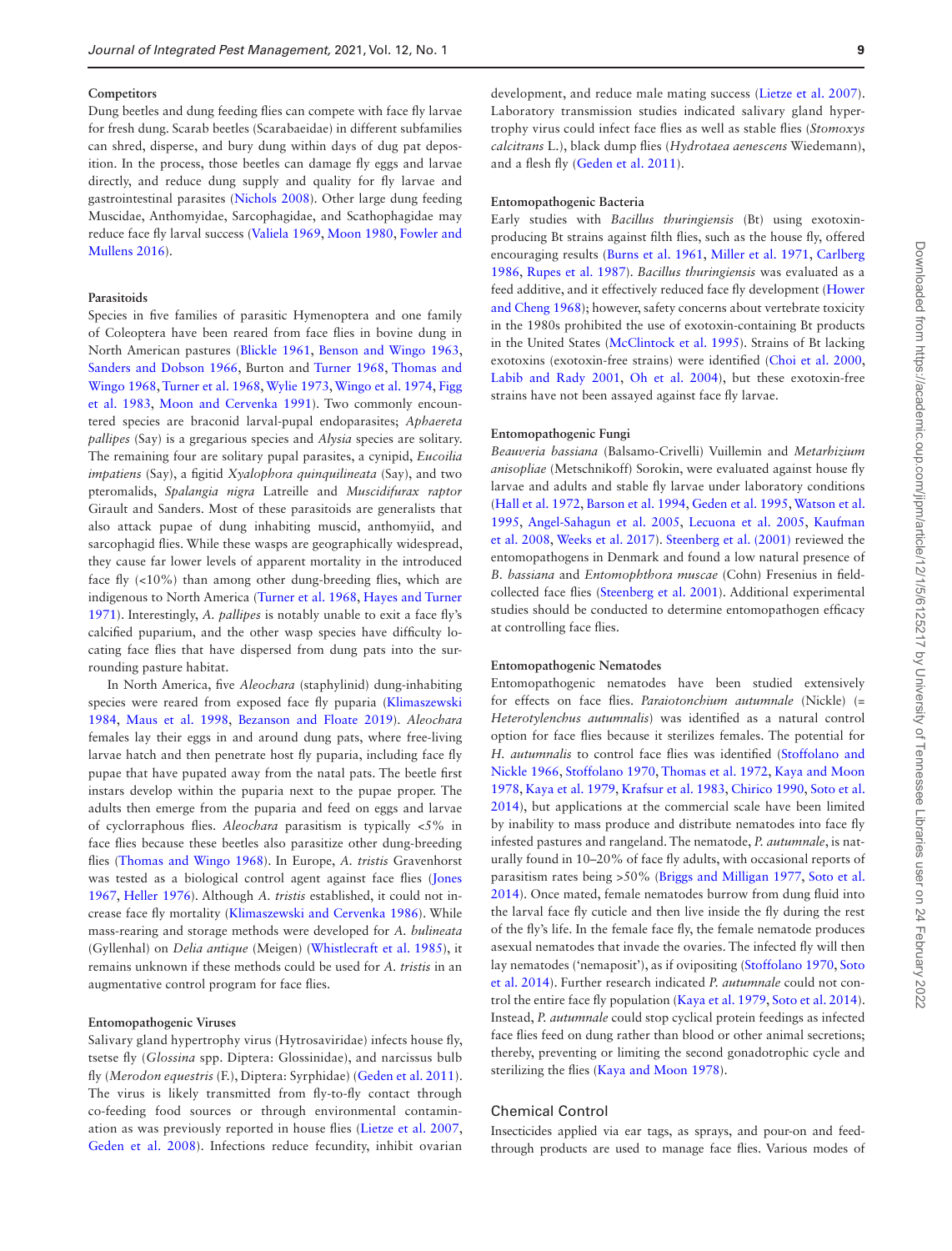#### **Competitors**

Dung beetles and dung feeding flies can compete with face fly larvae for fresh dung. Scarab beetles (Scarabaeidae) in different subfamilies can shred, disperse, and bury dung within days of dug pat deposition. In the process, those beetles can damage fly eggs and larvae directly, and reduce dung supply and quality for fly larvae and gastrointestinal parasites ([Nichols 2008\)](#page-16-32). Other large dung feeding Muscidae, Anthomyidae, Sarcophagidae, and Scathophagidae may reduce face fly larval success [\(Valiela 1969,](#page-17-3) [Moon 1980](#page-16-33), [Fowler and](#page-14-26) [Mullens 2016](#page-14-26)).

#### **Parasitoids**

Species in five families of parasitic Hymenoptera and one family of Coleoptera have been reared from face flies in bovine dung in North American pastures [\(Blickle 1961](#page-12-12), [Benson and Wingo 1963](#page-12-13), [Sanders and Dobson 1966,](#page-16-34) Burton and [Turner 1968,](#page-17-15) [Thomas and](#page-17-21) [Wingo 1968,](#page-17-21) [Turner et al. 1968,](#page-17-15) [Wylie 1973,](#page-17-22) [Wingo et al. 1974,](#page-17-16) [Figg](#page-13-32) [et al. 1983](#page-13-32), [Moon and Cervenka 1991](#page-16-35)). Two commonly encountered species are braconid larval-pupal endoparasites; *Aphaereta pallipes* (Say) is a gregarious species and *Alysia* species are solitary. The remaining four are solitary pupal parasites, a cynipid, *Eucoilia impatiens* (Say), a figitid *Xyalophora quinquilineata* (Say), and two pteromalids, *Spalangia nigra* Latreille and *Muscidifurax raptor* Girault and Sanders. Most of these parasitoids are generalists that also attack pupae of dung inhabiting muscid, anthomyiid, and sarcophagid flies. While these wasps are geographically widespread, they cause far lower levels of apparent mortality in the introduced face fly (<10%) than among other dung-breeding flies, which are indigenous to North America [\(Turner et al. 1968](#page-17-15), [Hayes and Turner](#page-14-27) [1971\)](#page-14-27). Interestingly, *A. pallipes* is notably unable to exit a face fly's calcified puparium, and the other wasp species have difficulty locating face flies that have dispersed from dung pats into the surrounding pasture habitat.

In North America, five *Aleochara* (staphylinid) dung-inhabiting species were reared from exposed face fly puparia [\(Klimaszewski](#page-15-23) [1984,](#page-15-23) [Maus et al. 1998](#page-15-24), [Bezanson and Floate 2019\)](#page-12-14). *Aleochara* females lay their eggs in and around dung pats, where free-living larvae hatch and then penetrate host fly puparia, including face fly pupae that have pupated away from the natal pats. The beetle first instars develop within the puparia next to the pupae proper. The adults then emerge from the puparia and feed on eggs and larvae of cyclorraphous flies. *Aleochara* parasitism is typically <5% in face flies because these beetles also parasitize other dung-breeding flies [\(Thomas and Wingo 1968\)](#page-17-21). In Europe, *A. tristis* Gravenhorst was tested as a biological control agent against face flies ([Jones](#page-14-28) [1967,](#page-14-28) [Heller 1976](#page-14-29)). Although *A. tristis* established, it could not increase face fly mortality [\(Klimaszewski and Cervenka 1986\)](#page-15-25). While mass-rearing and storage methods were developed for *A. bulineata* (Gyllenhal) on *Delia antique* (Meigen) ([Whistlecraft et al. 1985\)](#page-17-23), it remains unknown if these methods could be used for *A. tristis* in an augmentative control program for face flies.

### **Entomopathogenic Viruses**

Salivary gland hypertrophy virus (Hytrosaviridae) infects house fly, tsetse fly (*Glossina* spp. Diptera: Glossinidae), and narcissus bulb fly (*Merodon equestris* (F.), Diptera: Syrphidae) ([Geden et al. 2011\)](#page-14-30). The virus is likely transmitted from fly-to-fly contact through co-feeding food sources or through environmental contamination as was previously reported in house flies [\(Lietze et al. 2007](#page-15-26), [Geden et al. 2008\)](#page-14-31). Infections reduce fecundity, inhibit ovarian development, and reduce male mating success ([Lietze et al. 2007\)](#page-15-26). Laboratory transmission studies indicated salivary gland hypertrophy virus could infect face flies as well as stable flies (*Stomoxys calcitrans* L.), black dump flies (*Hydrotaea aenescens* Wiedemann), and a flesh fly ([Geden et al. 2011](#page-14-30)).

#### **Entomopathogenic Bacteria**

Early studies with *Bacillus thuringiensis* (Bt) using exotoxinproducing Bt strains against filth flies, such as the house fly, offered encouraging results ([Burns et al. 1961](#page-13-33), [Miller et al. 1971](#page-15-27), [Carlberg](#page-13-34) [1986,](#page-13-34) [Rupes et al. 1987](#page-16-36)). *Bacillus thuringiensis* was evaluated as a feed additive, and it effectively reduced face fly development [\(Hower](#page-14-32) [and Cheng 1968\)](#page-14-32); however, safety concerns about vertebrate toxicity in the 1980s prohibited the use of exotoxin-containing Bt products in the United States [\(McClintock et al. 1995\)](#page-15-28). Strains of Bt lacking exotoxins (exotoxin-free strains) were identified [\(Choi et al. 2000](#page-13-35), [Labib and Rady 2001](#page-15-29), [Oh et al. 2004](#page-16-37)), but these exotoxin-free strains have not been assayed against face fly larvae.

#### **Entomopathogenic Fungi**

*Beauveria bassiana* (Balsamo-Crivelli) Vuillemin and *Metarhizium anisopliae* (Metschnikoff) Sorokin, were evaluated against house fly larvae and adults and stable fly larvae under laboratory conditions ([Hall et al. 1972](#page-14-33), [Barson et al. 1994](#page-12-15), [Geden et al. 1995](#page-14-34), [Watson et al.](#page-17-24) [1995,](#page-17-24) [Angel-Sahagun et al. 2005](#page-12-16), [Lecuona et al. 2005,](#page-15-30) [Kaufman](#page-14-35) [et al. 2008](#page-14-35), [Weeks et al. 2017\)](#page-17-25). [Steenberg et al. \(2001\)](#page-17-26) reviewed the entomopathogens in Denmark and found a low natural presence of *B. bassiana* and *Entomophthora muscae* (Cohn) Fresenius in fieldcollected face flies ([Steenberg et al. 2001\)](#page-17-26). Additional experimental studies should be conducted to determine entomopathogen efficacy at controlling face flies.

#### **Entomopathogenic Nematodes**

Entomopathogenic nematodes have been studied extensively for effects on face flies. *Paraiotonchium autumnale* (Nickle) (*= Heterotylenchus autumnalis*) was identified as a natural control option for face flies because it sterilizes females. The potential for *H. autumnalis* to control face flies was identified ([Stoffolano and](#page-17-27) [Nickle 1966,](#page-17-27) [Stoffolano 1970,](#page-17-28) [Thomas et al. 1972,](#page-17-29) [Kaya and Moon](#page-14-18) [1978,](#page-14-18) [Kaya et al. 1979](#page-15-31), [Krafsur et al. 1983,](#page-15-32) [Chirico 1990](#page-13-36), [Soto et al.](#page-17-30) [2014\)](#page-17-30), but applications at the commercial scale have been limited by inability to mass produce and distribute nematodes into face fly infested pastures and rangeland. The nematode, *P. autumnale*, is naturally found in 10–20% of face fly adults, with occasional reports of parasitism rates being >50% [\(Briggs and Milligan 1977](#page-13-37), [Soto et al.](#page-17-30) [2014\)](#page-17-30). Once mated, female nematodes burrow from dung fluid into the larval face fly cuticle and then live inside the fly during the rest of the fly's life. In the female face fly, the female nematode produces asexual nematodes that invade the ovaries. The infected fly will then lay nematodes ('nemaposit'), as if ovipositing [\(Stoffolano 1970,](#page-17-28) [Soto](#page-17-30) [et al. 2014\)](#page-17-30). Further research indicated *P. autumnale* could not control the entire face fly population ([Kaya et al. 1979](#page-15-31), [Soto et al. 2014\)](#page-17-30). Instead, *P. autumnale* could stop cyclical protein feedings as infected face flies feed on dung rather than blood or other animal secretions; thereby, preventing or limiting the second gonadotrophic cycle and sterilizing the flies ([Kaya and Moon 1978](#page-14-18)).

# Chemical Control

Insecticides applied via ear tags, as sprays, and pour-on and feedthrough products are used to manage face flies. Various modes of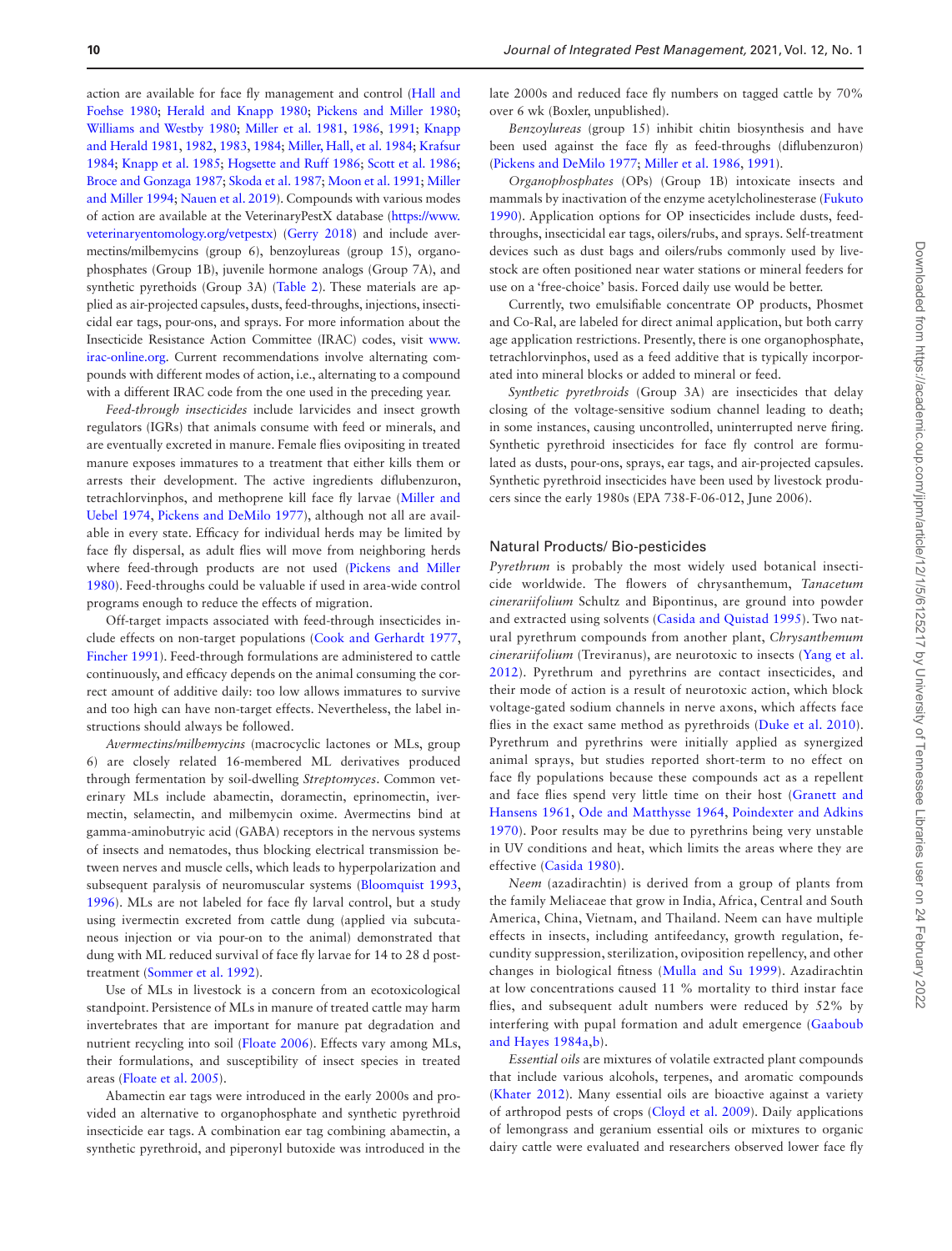action are available for face fly management and control ([Hall and](#page-14-36) [Foehse 1980;](#page-14-36) [Herald and Knapp 1980](#page-14-37); [Pickens and Miller 1980;](#page-16-4) [Williams and Westby 1980](#page-17-31); [Miller et al. 1981](#page-15-33), [1986,](#page-15-34) [1991](#page-15-35); [Knapp](#page-15-36) [and Herald 1981,](#page-15-36) [1982](#page-15-37), [1983,](#page-15-38) [1984](#page-15-8); [Miller, Hall, et al. 1984](#page-14-3); [Krafsur](#page-15-39) [1984;](#page-15-39) [Knapp et al. 1985;](#page-15-40) [Hogsette and Ruff 1986](#page-14-38); [Scott et al. 1986;](#page-16-38) [Broce and Gonzaga 1987](#page-13-38); [Skoda et al. 1987](#page-17-32); [Moon et al. 1991](#page-16-39); [Miller](#page-15-41) [and Miller 1994;](#page-15-41) [Nauen et al. 2019\)](#page-16-31). Compounds with various modes of action are available at the VeterinaryPestX database ([https://www.](https://www.veterinaryentomology.org/vetpestx) [veterinaryentomology.org/vetpestx\)](https://www.veterinaryentomology.org/vetpestx) ([Gerry 2018\)](#page-14-39) and include avermectins/milbemycins (group 6), benzoylureas (group 15), organophosphates (Group 1B), juvenile hormone analogs (Group 7A), and synthetic pyrethoids (Group 3A) [\(Table 2](#page-7-0)). These materials are applied as air-projected capsules, dusts, feed-throughs, injections, insecticidal ear tags, pour-ons, and sprays. For more information about the Insecticide Resistance Action Committee (IRAC) codes, visit [www.](http://www.irac-online.org) [irac-online.org.](http://www.irac-online.org) Current recommendations involve alternating compounds with different modes of action, i.e., alternating to a compound with a different IRAC code from the one used in the preceding year.

*Feed-through insecticides* include larvicides and insect growth regulators (IGRs) that animals consume with feed or minerals, and are eventually excreted in manure. Female flies ovipositing in treated manure exposes immatures to a treatment that either kills them or arrests their development. The active ingredients diflubenzuron, tetrachlorvinphos, and methoprene kill face fly larvae ([Miller and](#page-15-42) [Uebel 1974](#page-15-42), [Pickens and DeMilo 1977\)](#page-16-23), although not all are available in every state. Efficacy for individual herds may be limited by face fly dispersal, as adult flies will move from neighboring herds where feed-through products are not used ([Pickens and Miller](#page-16-4) [1980\)](#page-16-4). Feed-throughs could be valuable if used in area-wide control programs enough to reduce the effects of migration.

Off-target impacts associated with feed-through insecticides include effects on non-target populations ([Cook and Gerhardt 1977](#page-13-39), [Fincher 1991\)](#page-14-40). Feed-through formulations are administered to cattle continuously, and efficacy depends on the animal consuming the correct amount of additive daily: too low allows immatures to survive and too high can have non-target effects. Nevertheless, the label instructions should always be followed.

*Avermectins/milbemycins* (macrocyclic lactones or MLs, group 6) are closely related 16-membered ML derivatives produced through fermentation by soil-dwelling *Streptomyces*. Common veterinary MLs include abamectin, doramectin, eprinomectin, ivermectin, selamectin, and milbemycin oxime. Avermectins bind at gamma-aminobutryic acid (GABA) receptors in the nervous systems of insects and nematodes, thus blocking electrical transmission between nerves and muscle cells, which leads to hyperpolarization and subsequent paralysis of neuromuscular systems ([Bloomquist 1993](#page-12-17), [1996\)](#page-13-30). MLs are not labeled for face fly larval control, but a study using ivermectin excreted from cattle dung (applied via subcutaneous injection or via pour-on to the animal) demonstrated that dung with ML reduced survival of face fly larvae for 14 to 28 d posttreatment [\(Sommer et al. 1992\)](#page-17-33).

Use of MLs in livestock is a concern from an ecotoxicological standpoint. Persistence of MLs in manure of treated cattle may harm invertebrates that are important for manure pat degradation and nutrient recycling into soil [\(Floate 2006](#page-14-20)). Effects vary among MLs, their formulations, and susceptibility of insect species in treated areas ([Floate et al. 2005](#page-14-41)).

Abamectin ear tags were introduced in the early 2000s and provided an alternative to organophosphate and synthetic pyrethroid insecticide ear tags. A combination ear tag combining abamectin, a synthetic pyrethroid, and piperonyl butoxide was introduced in the

late 2000s and reduced face fly numbers on tagged cattle by 70% over 6 wk (Boxler, unpublished).

*Benzoylureas* (group 15) inhibit chitin biosynthesis and have been used against the face fly as feed-throughs (diflubenzuron) ([Pickens and DeMilo 1977;](#page-16-23) [Miller et al. 1986](#page-15-34), [1991](#page-15-35)).

*Organophosphates* (OPs) (Group 1B) intoxicate insects and mammals by inactivation of the enzyme acetylcholinesterase [\(Fukuto](#page-14-42) [1990\)](#page-14-42). Application options for OP insecticides include dusts, feedthroughs, insecticidal ear tags, oilers/rubs, and sprays. Self-treatment devices such as dust bags and oilers/rubs commonly used by livestock are often positioned near water stations or mineral feeders for use on a 'free-choice' basis. Forced daily use would be better.

Currently, two emulsifiable concentrate OP products, Phosmet and Co-Ral, are labeled for direct animal application, but both carry age application restrictions. Presently, there is one organophosphate, tetrachlorvinphos, used as a feed additive that is typically incorporated into mineral blocks or added to mineral or feed.

*Synthetic pyrethroids* (Group 3A) are insecticides that delay closing of the voltage-sensitive sodium channel leading to death; in some instances, causing uncontrolled, uninterrupted nerve firing. Synthetic pyrethroid insecticides for face fly control are formulated as dusts, pour-ons, sprays, ear tags, and air-projected capsules. Synthetic pyrethroid insecticides have been used by livestock producers since the early 1980s (EPA 738-F-06-012, June 2006).

#### Natural Products/ Bio-pesticides

*Pyrethrum* is probably the most widely used botanical insecticide worldwide. The flowers of chrysanthemum, *Tanacetum cinerariifolium* Schultz and Bipontinus, are ground into powder and extracted using solvents ([Casida and Quistad 1995\)](#page-13-40). Two natural pyrethrum compounds from another plant, *Chrysanthemum cinerariifolium* (Treviranus), are neurotoxic to insects [\(Yang et al.](#page-17-34) [2012](#page-17-34)). Pyrethrum and pyrethrins are contact insecticides, and their mode of action is a result of neurotoxic action, which block voltage-gated sodium channels in nerve axons, which affects face flies in the exact same method as pyrethroids ([Duke et al. 2010](#page-13-41)). Pyrethrum and pyrethrins were initially applied as synergized animal sprays, but studies reported short-term to no effect on face fly populations because these compounds act as a repellent and face flies spend very little time on their host ([Granett and](#page-14-43) [Hansens 1961](#page-14-43), [Ode and Matthysse 1964](#page-16-40), [Poindexter and Adkins](#page-16-41) [1970](#page-16-41)). Poor results may be due to pyrethrins being very unstable in UV conditions and heat, which limits the areas where they are effective ([Casida 1980\)](#page-13-42).

*Neem* (azadirachtin) is derived from a group of plants from the family Meliaceae that grow in India, Africa, Central and South America, China, Vietnam, and Thailand. Neem can have multiple effects in insects, including antifeedancy, growth regulation, fecundity suppression, sterilization, oviposition repellency, and other changes in biological fitness ([Mulla and Su 1999](#page-16-30)). Azadirachtin at low concentrations caused 11 % mortality to third instar face flies, and subsequent adult numbers were reduced by 52% by interfering with pupal formation and adult emergence [\(Gaaboub](#page-14-24) [and Hayes 1984a](#page-14-24),[b](#page-14-44)).

*Essential oils* are mixtures of volatile extracted plant compounds that include various alcohols, terpenes, and aromatic compounds ([Khater 2012\)](#page-15-22). Many essential oils are bioactive against a variety of arthropod pests of crops ([Cloyd et al. 2009](#page-13-31)). Daily applications of lemongrass and geranium essential oils or mixtures to organic dairy cattle were evaluated and researchers observed lower face fly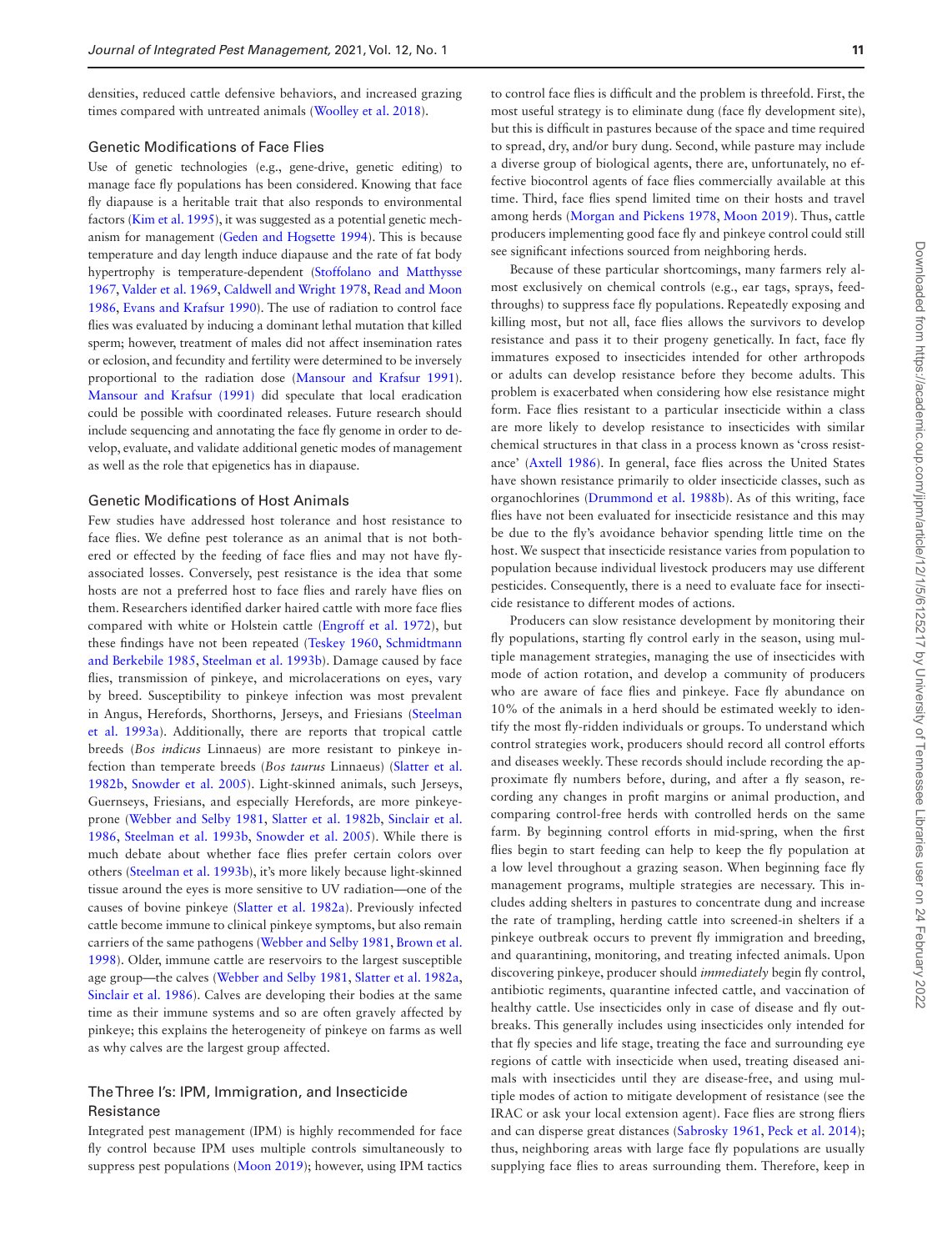densities, reduced cattle defensive behaviors, and increased grazing times compared with untreated animals [\(Woolley et al. 2018](#page-17-7)).

# Genetic Modifications of Face Flies

Use of genetic technologies (e.g., gene-drive, genetic editing) to manage face fly populations has been considered. Knowing that face fly diapause is a heritable trait that also responds to environmental factors ([Kim et al. 1995](#page-15-43)), it was suggested as a potential genetic mechanism for management ([Geden and Hogsette 1994](#page-14-45)). This is because temperature and day length induce diapause and the rate of fat body hypertrophy is temperature-dependent [\(Stoffolano and Matthysse](#page-17-4) [1967,](#page-17-4) [Valder et al. 1969,](#page-17-5) [Caldwell and Wright 1978,](#page-13-43) [Read and Moon](#page-16-2) [1986,](#page-16-2) [Evans and Krafsur 1990\)](#page-13-44). The use of radiation to control face flies was evaluated by inducing a dominant lethal mutation that killed sperm; however, treatment of males did not affect insemination rates or eclosion, and fecundity and fertility were determined to be inversely proportional to the radiation dose [\(Mansour and Krafsur 1991\)](#page-15-44). [Mansour and Krafsur \(1991\)](#page-15-44) did speculate that local eradication could be possible with coordinated releases. Future research should include sequencing and annotating the face fly genome in order to develop, evaluate, and validate additional genetic modes of management as well as the role that epigenetics has in diapause.

# Genetic Modifications of Host Animals

Few studies have addressed host tolerance and host resistance to face flies. We define pest tolerance as an animal that is not bothered or effected by the feeding of face flies and may not have flyassociated losses. Conversely, pest resistance is the idea that some hosts are not a preferred host to face flies and rarely have flies on them. Researchers identified darker haired cattle with more face flies compared with white or Holstein cattle ([Engroff et al. 1972\)](#page-13-45), but these findings have not been repeated ([Teskey 1960,](#page-17-0) [Schmidtmann](#page-16-18) [and Berkebile 1985](#page-16-18), [Steelman et al. 1993b](#page-17-35)). Damage caused by face flies, transmission of pinkeye, and microlacerations on eyes, vary by breed. Susceptibility to pinkeye infection was most prevalent in Angus, Herefords, Shorthorns, Jerseys, and Friesians [\(Steelman](#page-17-36) [et al. 1993a\)](#page-17-36). Additionally, there are reports that tropical cattle breeds (*Bos indicus* Linnaeus) are more resistant to pinkeye infection than temperate breeds (*Bos taurus* Linnaeus) [\(Slatter et al.](#page-17-37) [1982b](#page-17-37), [Snowder et al. 2005\)](#page-17-10). Light-skinned animals, such Jerseys, Guernseys, Friesians, and especially Herefords, are more pinkeyeprone ([Webber and Selby 1981](#page-17-12), [Slatter et al. 1982b](#page-17-37), [Sinclair et al.](#page-17-9) [1986,](#page-17-9) [Steelman et al. 1993b](#page-17-35), [Snowder et al. 2005](#page-17-10)). While there is much debate about whether face flies prefer certain colors over others [\(Steelman et al. 1993b\)](#page-17-35), it's more likely because light-skinned tissue around the eyes is more sensitive to UV radiation—one of the causes of bovine pinkeye [\(Slatter et al. 1982a\)](#page-17-11). Previously infected cattle become immune to clinical pinkeye symptoms, but also remain carriers of the same pathogens [\(Webber and Selby 1981](#page-17-12), [Brown et al.](#page-13-6) [1998\)](#page-13-6). Older, immune cattle are reservoirs to the largest susceptible age group—the calves ([Webber and Selby 1981,](#page-17-12) [Slatter et al. 1982a](#page-17-11), [Sinclair et al. 1986\)](#page-17-9). Calves are developing their bodies at the same time as their immune systems and so are often gravely affected by pinkeye; this explains the heterogeneity of pinkeye on farms as well as why calves are the largest group affected.

# The Three I's: IPM, Immigration, and Insecticide **Resistance**

Integrated pest management (IPM) is highly recommended for face fly control because IPM uses multiple controls simultaneously to suppress pest populations [\(Moon 2019\)](#page-16-6); however, using IPM tactics to control face flies is difficult and the problem is threefold. First, the most useful strategy is to eliminate dung (face fly development site), but this is difficult in pastures because of the space and time required to spread, dry, and/or bury dung. Second, while pasture may include a diverse group of biological agents, there are, unfortunately, no effective biocontrol agents of face flies commercially available at this time. Third, face flies spend limited time on their hosts and travel among herds ([Morgan and Pickens 1978](#page-16-42), [Moon 2019](#page-16-6)). Thus, cattle producers implementing good face fly and pinkeye control could still see significant infections sourced from neighboring herds.

Because of these particular shortcomings, many farmers rely almost exclusively on chemical controls (e.g., ear tags, sprays, feedthroughs) to suppress face fly populations. Repeatedly exposing and killing most, but not all, face flies allows the survivors to develop resistance and pass it to their progeny genetically. In fact, face fly immatures exposed to insecticides intended for other arthropods or adults can develop resistance before they become adults. This problem is exacerbated when considering how else resistance might form. Face flies resistant to a particular insecticide within a class are more likely to develop resistance to insecticides with similar chemical structures in that class in a process known as 'cross resistance' [\(Axtell 1986](#page-12-18)). In general, face flies across the United States have shown resistance primarily to older insecticide classes, such as organochlorines [\(Drummond et al. 1988b\)](#page-13-46). As of this writing, face flies have not been evaluated for insecticide resistance and this may be due to the fly's avoidance behavior spending little time on the host. We suspect that insecticide resistance varies from population to population because individual livestock producers may use different pesticides. Consequently, there is a need to evaluate face for insecticide resistance to different modes of actions.

Producers can slow resistance development by monitoring their fly populations, starting fly control early in the season, using multiple management strategies, managing the use of insecticides with mode of action rotation, and develop a community of producers who are aware of face flies and pinkeye. Face fly abundance on 10% of the animals in a herd should be estimated weekly to identify the most fly-ridden individuals or groups. To understand which control strategies work, producers should record all control efforts and diseases weekly. These records should include recording the approximate fly numbers before, during, and after a fly season, recording any changes in profit margins or animal production, and comparing control-free herds with controlled herds on the same farm. By beginning control efforts in mid-spring, when the first flies begin to start feeding can help to keep the fly population at a low level throughout a grazing season. When beginning face fly management programs, multiple strategies are necessary. This includes adding shelters in pastures to concentrate dung and increase the rate of trampling, herding cattle into screened-in shelters if a pinkeye outbreak occurs to prevent fly immigration and breeding, and quarantining, monitoring, and treating infected animals. Upon discovering pinkeye, producer should *immediately* begin fly control, antibiotic regiments, quarantine infected cattle, and vaccination of healthy cattle. Use insecticides only in case of disease and fly outbreaks. This generally includes using insecticides only intended for that fly species and life stage, treating the face and surrounding eye regions of cattle with insecticide when used, treating diseased animals with insecticides until they are disease-free, and using multiple modes of action to mitigate development of resistance (see the IRAC or ask your local extension agent). Face flies are strong fliers and can disperse great distances ([Sabrosky 1961](#page-16-43), [Peck et al. 2014](#page-16-44)); thus, neighboring areas with large face fly populations are usually supplying face flies to areas surrounding them. Therefore, keep in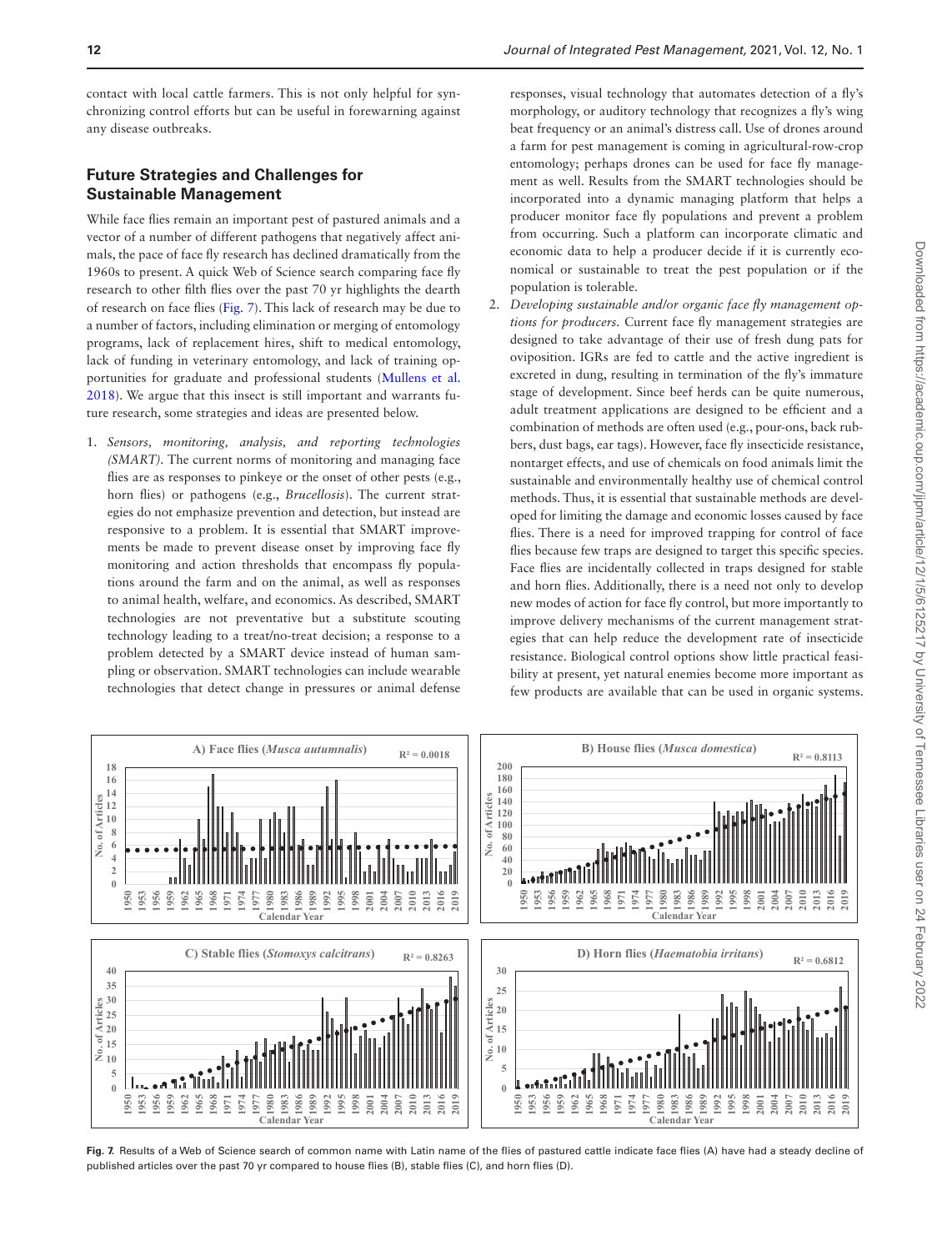contact with local cattle farmers. This is not only helpful for synchronizing control efforts but can be useful in forewarning against any disease outbreaks.

# **Future Strategies and Challenges for Sustainable Management**

While face flies remain an important pest of pastured animals and a vector of a number of different pathogens that negatively affect animals, the pace of face fly research has declined dramatically from the 1960s to present. A quick Web of Science search comparing face fly research to other filth flies over the past 70 yr highlights the dearth of research on face flies [\(Fig. 7](#page-11-0)). This lack of research may be due to a number of factors, including elimination or merging of entomology programs, lack of replacement hires, shift to medical entomology, lack of funding in veterinary entomology, and lack of training opportunities for graduate and professional students ([Mullens et al.](#page-16-45) [2018\)](#page-16-45). We argue that this insect is still important and warrants future research, some strategies and ideas are presented below.

1. *Sensors, monitoring, analysis, and reporting technologies (SMART).* The current norms of monitoring and managing face flies are as responses to pinkeye or the onset of other pests (e.g., horn flies) or pathogens (e.g., *Brucellosis*). The current strategies do not emphasize prevention and detection, but instead are responsive to a problem. It is essential that SMART improvements be made to prevent disease onset by improving face fly monitoring and action thresholds that encompass fly populations around the farm and on the animal, as well as responses to animal health, welfare, and economics. As described, SMART technologies are not preventative but a substitute scouting technology leading to a treat/no-treat decision; a response to a problem detected by a SMART device instead of human sampling or observation. SMART technologies can include wearable technologies that detect change in pressures or animal defense

responses, visual technology that automates detection of a fly's morphology, or auditory technology that recognizes a fly's wing beat frequency or an animal's distress call. Use of drones around a farm for pest management is coming in agricultural-row-crop entomology; perhaps drones can be used for face fly management as well. Results from the SMART technologies should be incorporated into a dynamic managing platform that helps a producer monitor face fly populations and prevent a problem from occurring. Such a platform can incorporate climatic and economic data to help a producer decide if it is currently economical or sustainable to treat the pest population or if the population is tolerable.

2. *Developing sustainable and/or organic face fly management options for producers.* Current face fly management strategies are designed to take advantage of their use of fresh dung pats for oviposition. IGRs are fed to cattle and the active ingredient is excreted in dung, resulting in termination of the fly's immature stage of development. Since beef herds can be quite numerous, adult treatment applications are designed to be efficient and a combination of methods are often used (e.g., pour-ons, back rubbers, dust bags, ear tags). However, face fly insecticide resistance, nontarget effects, and use of chemicals on food animals limit the sustainable and environmentally healthy use of chemical control methods. Thus, it is essential that sustainable methods are developed for limiting the damage and economic losses caused by face flies. There is a need for improved trapping for control of face flies because few traps are designed to target this specific species. Face flies are incidentally collected in traps designed for stable and horn flies. Additionally, there is a need not only to develop new modes of action for face fly control, but more importantly to improve delivery mechanisms of the current management strategies that can help reduce the development rate of insecticide resistance. Biological control options show little practical feasibility at present, yet natural enemies become more important as few products are available that can be used in organic systems.



<span id="page-11-0"></span>**Fig. 7.** Results of a Web of Science search of common name with Latin name of the flies of pastured cattle indicate face flies (A) have had a steady decline of published articles over the past 70 yr compared to house flies (B), stable flies (C), and horn flies (D).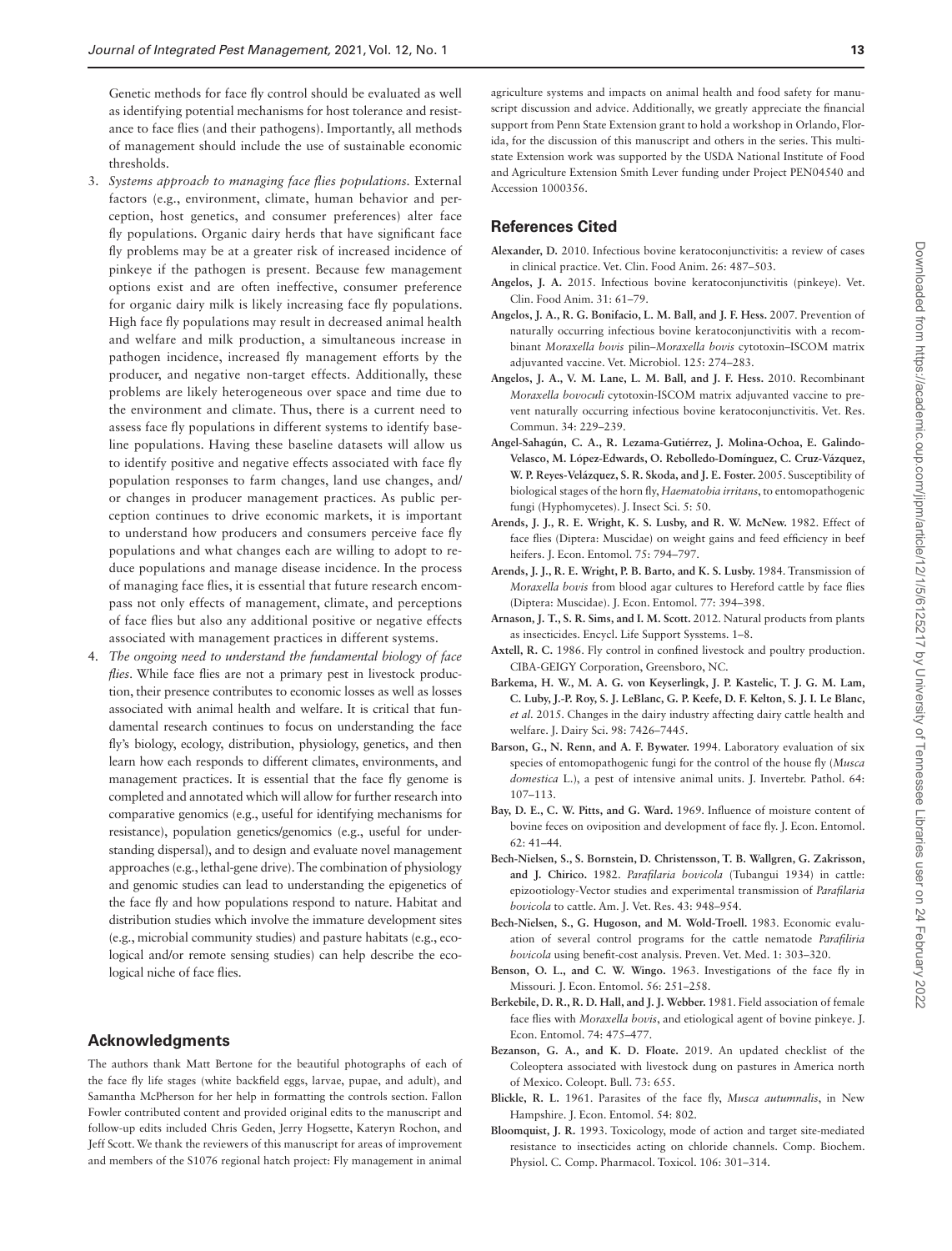Genetic methods for face fly control should be evaluated as well as identifying potential mechanisms for host tolerance and resistance to face flies (and their pathogens). Importantly, all methods of management should include the use of sustainable economic thresholds.

- 3. *Systems approach to managing face flies populations.* External factors (e.g., environment, climate, human behavior and perception, host genetics, and consumer preferences) alter face fly populations. Organic dairy herds that have significant face fly problems may be at a greater risk of increased incidence of pinkeye if the pathogen is present. Because few management options exist and are often ineffective, consumer preference for organic dairy milk is likely increasing face fly populations. High face fly populations may result in decreased animal health and welfare and milk production, a simultaneous increase in pathogen incidence, increased fly management efforts by the producer, and negative non-target effects. Additionally, these problems are likely heterogeneous over space and time due to the environment and climate. Thus, there is a current need to assess face fly populations in different systems to identify baseline populations. Having these baseline datasets will allow us to identify positive and negative effects associated with face fly population responses to farm changes, land use changes, and/ or changes in producer management practices. As public perception continues to drive economic markets, it is important to understand how producers and consumers perceive face fly populations and what changes each are willing to adopt to reduce populations and manage disease incidence. In the process of managing face flies, it is essential that future research encompass not only effects of management, climate, and perceptions of face flies but also any additional positive or negative effects associated with management practices in different systems.
- 4. *The ongoing need to understand the fundamental biology of face flies*. While face flies are not a primary pest in livestock production, their presence contributes to economic losses as well as losses associated with animal health and welfare. It is critical that fundamental research continues to focus on understanding the face fly's biology, ecology, distribution, physiology, genetics, and then learn how each responds to different climates, environments, and management practices. It is essential that the face fly genome is completed and annotated which will allow for further research into comparative genomics (e.g., useful for identifying mechanisms for resistance), population genetics/genomics (e.g., useful for understanding dispersal), and to design and evaluate novel management approaches (e.g., lethal-gene drive). The combination of physiology and genomic studies can lead to understanding the epigenetics of the face fly and how populations respond to nature. Habitat and distribution studies which involve the immature development sites (e.g., microbial community studies) and pasture habitats (e.g., ecological and/or remote sensing studies) can help describe the ecological niche of face flies.

# **Acknowledgments**

The authors thank Matt Bertone for the beautiful photographs of each of the face fly life stages (white backfield eggs, larvae, pupae, and adult), and Samantha McPherson for her help in formatting the controls section. Fallon Fowler contributed content and provided original edits to the manuscript and follow-up edits included Chris Geden, Jerry Hogsette, Kateryn Rochon, and Jeff Scott. We thank the reviewers of this manuscript for areas of improvement and members of the S1076 regional hatch project: Fly management in animal agriculture systems and impacts on animal health and food safety for manuscript discussion and advice. Additionally, we greatly appreciate the financial support from Penn State Extension grant to hold a workshop in Orlando, Florida, for the discussion of this manuscript and others in the series. This multistate Extension work was supported by the USDA National Institute of Food and Agriculture Extension Smith Lever funding under Project PEN04540 and Accession 1000356.

# **References Cited**

- <span id="page-12-5"></span>**Alexander, D.** 2010. Infectious bovine keratoconjunctivitis: a review of cases in clinical practice. Vet. Clin. Food Anim. 26: 487–503.
- <span id="page-12-4"></span>**Angelos, J. A.** 2015. Infectious bovine keratoconjunctivitis (pinkeye). Vet. Clin. Food Anim. 31: 61–79.
- <span id="page-12-6"></span>**Angelos, J. A., R. G. Bonifacio, L. M. Ball, and J. F. Hess.** 2007. Prevention of naturally occurring infectious bovine keratoconjunctivitis with a recombinant *Moraxella bovis* pilin–*Moraxella bovis* cytotoxin–ISCOM matrix adjuvanted vaccine. Vet. Microbiol. 125: 274–283.
- <span id="page-12-7"></span>**Angelos, J. A., V. M. Lane, L. M. Ball, and J. F. Hess.** 2010. Recombinant *Moraxella bovoculi* cytotoxin-ISCOM matrix adjuvanted vaccine to prevent naturally occurring infectious bovine keratoconjunctivitis. Vet. Res. Commun. 34: 229–239.
- <span id="page-12-16"></span>**Angel-Sahagún, C. A., R. Lezama-Gutiérrez, J. Molina-Ochoa, E. Galindo-Velasco, M. López-Edwards, O. Rebolledo-Domínguez, C. Cruz-Vázquez, W. P. Reyes-Velázquez, S. R. Skoda, and J. E. Foster.** 2005. Susceptibility of biological stages of the horn fly, *Haematobia irritans*, to entomopathogenic fungi (Hyphomycetes). J. Insect Sci. 5: 50.
- <span id="page-12-1"></span>**Arends, J. J., R. E. Wright, K. S. Lusby, and R. W. McNew.** 1982. Effect of face flies (Diptera: Muscidae) on weight gains and feed efficiency in beef heifers. J. Econ. Entomol. 75: 794–797.
- <span id="page-12-3"></span>**Arends, J. J., R. E. Wright, P. B. Barto, and K. S. Lusby.** 1984. Transmission of *Moraxella bovis* from blood agar cultures to Hereford cattle by face flies (Diptera: Muscidae). J. Econ. Entomol. 77: 394–398.
- <span id="page-12-11"></span>**Arnason, J. T., S. R. Sims, and I. M. Scott.** 2012. Natural products from plants as insecticides. Encycl. Life Support Sysstems. 1–8.
- <span id="page-12-18"></span>**Axtell, R. C.** 1986. Fly control in confined livestock and poultry production. CIBA-GEIGY Corporation, Greensboro, NC.
- <span id="page-12-10"></span>**Barkema, H. W., M. A. G. von Keyserlingk, J. P. Kastelic, T. J. G. M. Lam, C. Luby, J.-P. Roy, S. J. LeBlanc, G. P. Keefe, D. F. Kelton, S. J. I. Le Blanc,**  *et al.* 2015. Changes in the dairy industry affecting dairy cattle health and welfare. J. Dairy Sci. 98: 7426–7445.
- <span id="page-12-15"></span>**Barson, G., N. Renn, and A. F. Bywater.** 1994. Laboratory evaluation of six species of entomopathogenic fungi for the control of the house fly (*Musca domestica* L.), a pest of intensive animal units. J. Invertebr. Pathol. 64: 107–113.
- <span id="page-12-0"></span>**Bay, D. E., C. W. Pitts, and G. Ward.** 1969. Influence of moisture content of bovine feces on oviposition and development of face fly. J. Econ. Entomol. 62: 41–44.
- <span id="page-12-8"></span>**Bech-Nielsen, S., S. Bornstein, D. Christensson, T. B. Wallgren, G. Zakrisson, and J. Chirico.** 1982. *Parafilaria bovicola* (Tubangui 1934) in cattle: epizootiology-Vector studies and experimental transmission of *Parafilaria bovicola* to cattle. Am. J. Vet. Res. 43: 948–954.
- <span id="page-12-9"></span>**Bech-Nielsen, S., G. Hugoson, and M. Wold-Troell.** 1983. Economic evaluation of several control programs for the cattle nematode *Parafiliria bovicola* using benefit-cost analysis. Preven. Vet. Med. 1: 303–320.
- <span id="page-12-13"></span>**Benson, O. L., and C. W. Wingo.** 1963. Investigations of the face fly in Missouri. J. Econ. Entomol. 56: 251–258.
- <span id="page-12-2"></span>**Berkebile, D. R., R. D. Hall, and J. J. Webber.** 1981. Field association of female face flies with *Moraxella bovis*, and etiological agent of bovine pinkeye. J. Econ. Entomol. 74: 475–477.
- <span id="page-12-14"></span>**Bezanson, G. A., and K. D. Floate.** 2019. An updated checklist of the Coleoptera associated with livestock dung on pastures in America north of Mexico. Coleopt. Bull. 73: 655.
- <span id="page-12-12"></span>**Blickle, R. L.** 1961. Parasites of the face fly, *Musca autumnalis*, in New Hampshire. J. Econ. Entomol. 54: 802.
- <span id="page-12-17"></span>**Bloomquist, J. R.** 1993. Toxicology, mode of action and target site-mediated resistance to insecticides acting on chloride channels. Comp. Biochem. Physiol. C. Comp. Pharmacol. Toxicol. 106: 301–314.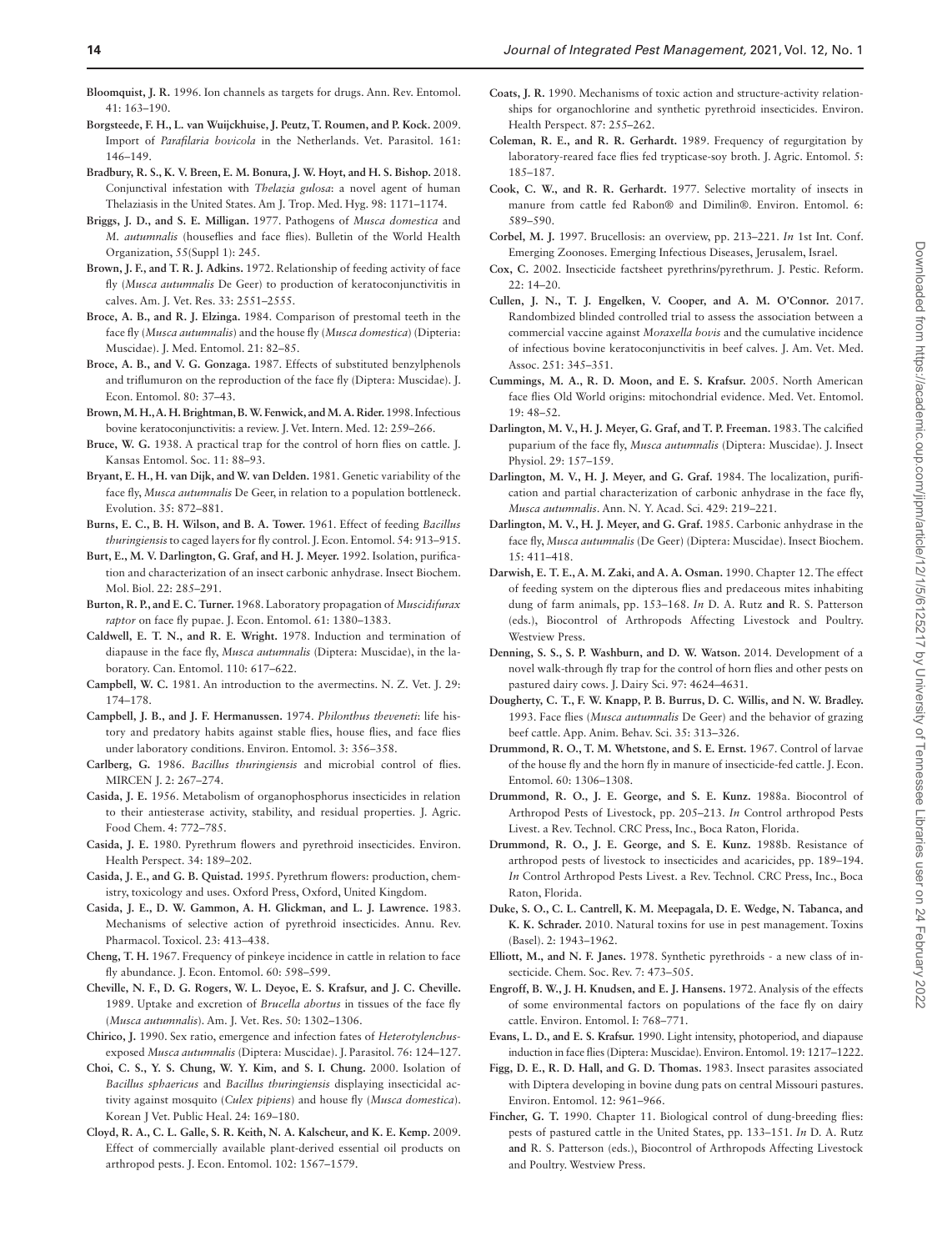- <span id="page-13-30"></span>**Bloomquist, J. R.** 1996. Ion channels as targets for drugs. Ann. Rev. Entomol. 41: 163–190.
- <span id="page-13-15"></span>**Borgsteede, F. H., L. van Wuijckhuise, J. Peutz, T. Roumen, and P. Kock.** 2009. Import of *Parafilaria bovicola* in the Netherlands. Vet. Parasitol. 161: 146–149.
- <span id="page-13-14"></span>**Bradbury, R. S., K. V. Breen, E. M. Bonura, J. W. Hoyt, and H. S. Bishop.** 2018. Conjunctival infestation with *Thelazia gulosa*: a novel agent of human Thelaziasis in the United States. Am J. Trop. Med. Hyg. 98: 1171–1174.
- <span id="page-13-37"></span>**Briggs, J. D., and S. E. Milligan.** 1977. Pathogens of *Musca domestica* and *M. autumnalis* (houseflies and face flies). Bulletin of the World Health Organization, 55(Suppl 1): 245.
- <span id="page-13-8"></span>**Brown, J. F., and T. R. J. Adkins.** 1972. Relationship of feeding activity of face fly (*Musca autumnalis* De Geer) to production of keratoconjunctivitis in calves. Am. J. Vet. Res. 33: 2551–2555.
- <span id="page-13-7"></span>**Broce, A. B., and R. J. Elzinga.** 1984. Comparison of prestomal teeth in the face fly (*Musca autumnalis*) and the house fly (*Musca domestica*) (Dipteria: Muscidae). J. Med. Entomol. 21: 82–85.
- <span id="page-13-38"></span>**Broce, A. B., and V. G. Gonzaga.** 1987. Effects of substituted benzylphenols and triflumuron on the reproduction of the face fly (Diptera: Muscidae). J. Econ. Entomol. 80: 37–43.
- <span id="page-13-6"></span>**Brown, M. H., A. H. Brightman, B. W. Fenwick, and M. A. Rider.** 1998. Infectious bovine keratoconjunctivitis: a review. J. Vet. Intern. Med. 12: 259–266.
- <span id="page-13-18"></span>**Bruce, W. G.** 1938. A practical trap for the control of horn flies on cattle. J. Kansas Entomol. Soc. 11: 88–93.
- <span id="page-13-4"></span>**Bryant, E. H., H. van Dijk, and W. van Delden.** 1981. Genetic variability of the face fly, *Musca autumnalis* De Geer, in relation to a population bottleneck. Evolution. 35: 872–881.
- <span id="page-13-33"></span>**Burns, E. C., B. H. Wilson, and B. A. Tower.** 1961. Effect of feeding *Bacillus thuringiensis* to caged layers for fly control. J. Econ. Entomol. 54: 913–915.
- <span id="page-13-3"></span>**Burt, E., M. V. Darlington, G. Graf, and H. J. Meyer.** 1992. Isolation, purification and characterization of an insect carbonic anhydrase. Insect Biochem. Mol. Biol. 22: 285–291.
- **Burton, R. P., and E. C. Turner.** 1968. Laboratory propagation of *Muscidifurax raptor* on face fly pupae. J. Econ. Entomol. 61: 1380–1383.
- <span id="page-13-43"></span>**Caldwell, E. T. N., and R. E. Wright.** 1978. Induction and termination of diapause in the face fly, *Musca autumnalis* (Diptera: Muscidae), in the laboratory. Can. Entomol. 110: 617–622.
- <span id="page-13-29"></span>**Campbell, W. C.** 1981. An introduction to the avermectins. N. Z. Vet. J. 29: 174–178.
- <span id="page-13-23"></span>**Campbell, J. B., and J. F. Hermanussen.** 1974. *Philonthus theveneti*: life history and predatory habits against stable flies, house flies, and face flies under laboratory conditions. Environ. Entomol. 3: 356–358.
- <span id="page-13-34"></span>**Carlberg, G.** 1986. *Bacillus thuringiensis* and microbial control of flies. MIRCEN J. 2: 267–274.
- <span id="page-13-24"></span>**Casida, J. E.** 1956. Metabolism of organophosphorus insecticides in relation to their antiesterase activity, stability, and residual properties. J. Agric. Food Chem. 4: 772–785.
- <span id="page-13-42"></span>**Casida, J. E.** 1980. Pyrethrum flowers and pyrethroid insecticides. Environ. Health Perspect. 34: 189–202.
- <span id="page-13-40"></span>**Casida, J. E., and G. B. Quistad.** 1995. Pyrethrum flowers: production, chemistry, toxicology and uses. Oxford Press, Oxford, United Kingdom.
- <span id="page-13-27"></span>**Casida, J. E., D. W. Gammon, A. H. Glickman, and L. J. Lawrence.** 1983. Mechanisms of selective action of pyrethroid insecticides. Annu. Rev. Pharmacol. Toxicol. 23: 413–438.
- <span id="page-13-12"></span>**Cheng, T. H.** 1967. Frequency of pinkeye incidence in cattle in relation to face fly abundance. J. Econ. Entomol. 60: 598–599.
- <span id="page-13-9"></span>**Cheville, N. F., D. G. Rogers, W. L. Deyoe, E. S. Krafsur, and J. C. Cheville.**  1989. Uptake and excretion of *Brucella abortus* in tissues of the face fly (*Musca autumnalis*). Am. J. Vet. Res. 50: 1302–1306.
- <span id="page-13-36"></span>**Chirico, J.** 1990. Sex ratio, emergence and infection fates of *Heterotylenchus*exposed *Musca autumnalis* (Diptera: Muscidae). J. Parasitol. 76: 124–127.
- <span id="page-13-35"></span>**Choi, C. S., Y. S. Chung, W. Y. Kim, and S. I. Chung.** 2000. Isolation of *Bacillus sphaericus* and *Bacillus thuringiensis* displaying insecticidal activity against mosquito (*Culex pipiens*) and house fly (*Musca domestica*). Korean J Vet. Public Heal. 24: 169–180.
- <span id="page-13-31"></span>**Cloyd, R. A., C. L. Galle, S. R. Keith, N. A. Kalscheur, and K. E. Kemp.** 2009. Effect of commercially available plant-derived essential oil products on arthropod pests. J. Econ. Entomol. 102: 1567–1579.
- <span id="page-13-28"></span>**Coats, J. R.** 1990. Mechanisms of toxic action and structure-activity relationships for organochlorine and synthetic pyrethroid insecticides. Environ. Health Perspect. 87: 255–262.
- <span id="page-13-10"></span>**Coleman, R. E., and R. R. Gerhardt.** 1989. Frequency of regurgitation by laboratory-reared face flies fed trypticase-soy broth. J. Agric. Entomol. 5: 185–187.
- <span id="page-13-39"></span>**Cook, C. W., and R. R. Gerhardt.** 1977. Selective mortality of insects in manure from cattle fed Rabon® and Dimilin®. Environ. Entomol. 6: 589–590.
- <span id="page-13-13"></span>**Corbel, M. J.** 1997. Brucellosis: an overview, pp. 213–221. *In* 1st Int. Conf. Emerging Zoonoses. Emerging Infectious Diseases, Jerusalem, Israel.
- <span id="page-13-25"></span>**Cox, C.** 2002. Insecticide factsheet pyrethrins/pyrethrum. J. Pestic. Reform.  $22 \cdot 14 - 20$
- <span id="page-13-11"></span>**Cullen, J. N., T. J. Engelken, V. Cooper, and A. M. O'Connor.** 2017. Randombized blinded controlled trial to assess the association between a commercial vaccine against *Moraxella bovis* and the cumulative incidence of infectious bovine keratoconjunctivitis in beef calves. J. Am. Vet. Med. Assoc. 251: 345–351.
- <span id="page-13-5"></span>**Cummings, M. A., R. D. Moon, and E. S. Krafsur.** 2005. North American face flies Old World origins: mitochondrial evidence. Med. Vet. Entomol. 19: 48–52.
- <span id="page-13-0"></span>**Darlington, M. V., H. J. Meyer, G. Graf, and T. P. Freeman.** 1983. The calcified puparium of the face fly, *Musca autumnalis* (Diptera: Muscidae). J. Insect Physiol. 29: 157–159.
- <span id="page-13-1"></span>**Darlington, M. V., H. J. Meyer, and G. Graf.** 1984. The localization, purification and partial characterization of carbonic anhydrase in the face fly, *Musca autumnalis*. Ann. N. Y. Acad. Sci. 429: 219–221.
- <span id="page-13-2"></span>**Darlington, M. V., H. J. Meyer, and G. Graf.** 1985. Carbonic anhydrase in the face fly, *Musca autumnalis* (De Geer) (Diptera: Muscidae). Insect Biochem. 15: 411–418.
- <span id="page-13-21"></span>**Darwish, E. T. E., A. M. Zaki, and A. A. Osman.** 1990. Chapter 12. The effect of feeding system on the dipterous flies and predaceous mites inhabiting dung of farm animals, pp. 153–168. *In* D. A. Rutz **and** R. S. Patterson (eds.), Biocontrol of Arthropods Affecting Livestock and Poultry. Westview Press.
- <span id="page-13-19"></span>**Denning, S. S., S. P. Washburn, and D. W. Watson.** 2014. Development of a novel walk-through fly trap for the control of horn flies and other pests on pastured dairy cows. J. Dairy Sci. 97: 4624–4631.
- <span id="page-13-17"></span>**Dougherty, C. T., F. W. Knapp, P. B. Burrus, D. C. Willis, and N. W. Bradley.**  1993. Face flies (*Musca autumnalis* De Geer) and the behavior of grazing beef cattle. App. Anim. Behav. Sci. 35: 313–326.
- <span id="page-13-16"></span>**Drummond, R. O., T. M. Whetstone, and S. E. Ernst.** 1967. Control of larvae of the house fly and the horn fly in manure of insecticide-fed cattle. J. Econ. Entomol. 60: 1306–1308.
- <span id="page-13-20"></span>**Drummond, R. O., J. E. George, and S. E. Kunz.** 1988a. Biocontrol of Arthropod Pests of Livestock, pp. 205–213. *In* Control arthropod Pests Livest. a Rev. Technol. CRC Press, Inc., Boca Raton, Florida.
- <span id="page-13-46"></span>**Drummond, R. O., J. E. George, and S. E. Kunz.** 1988b. Resistance of arthropod pests of livestock to insecticides and acaricides, pp. 189–194. *In* Control Arthropod Pests Livest. a Rev. Technol. CRC Press, Inc., Boca Raton, Florida.
- <span id="page-13-41"></span>**Duke, S. O., C. L. Cantrell, K. M. Meepagala, D. E. Wedge, N. Tabanca, and K. K. Schrader.** 2010. Natural toxins for use in pest management. Toxins (Basel). 2: 1943–1962.
- <span id="page-13-26"></span>**Elliott, M., and N. F. Janes.** 1978. Synthetic pyrethroids - a new class of insecticide. Chem. Soc. Rev. 7: 473–505.
- <span id="page-13-45"></span>**Engroff, B. W., J. H. Knudsen, and E. J. Hansens.** 1972. Analysis of the effects of some environmental factors on populations of the face fly on dairy cattle. Environ. Entomol. I: 768–771.
- <span id="page-13-44"></span>**Evans, L. D., and E. S. Krafsur.** 1990. Light intensity, photoperiod, and diapause induction in face flies (Diptera: Muscidae). Environ. Entomol. 19: 1217–1222.
- <span id="page-13-32"></span>**Figg, D. E., R. D. Hall, and G. D. Thomas.** 1983. Insect parasites associated with Diptera developing in bovine dung pats on central Missouri pastures. Environ. Entomol. 12: 961–966.
- <span id="page-13-22"></span>Fincher, G. T. 1990. Chapter 11. Biological control of dung-breeding flies: pests of pastured cattle in the United States, pp. 133–151. *In* D. A. Rutz **and** R. S. Patterson (eds.), Biocontrol of Arthropods Affecting Livestock and Poultry. Westview Press.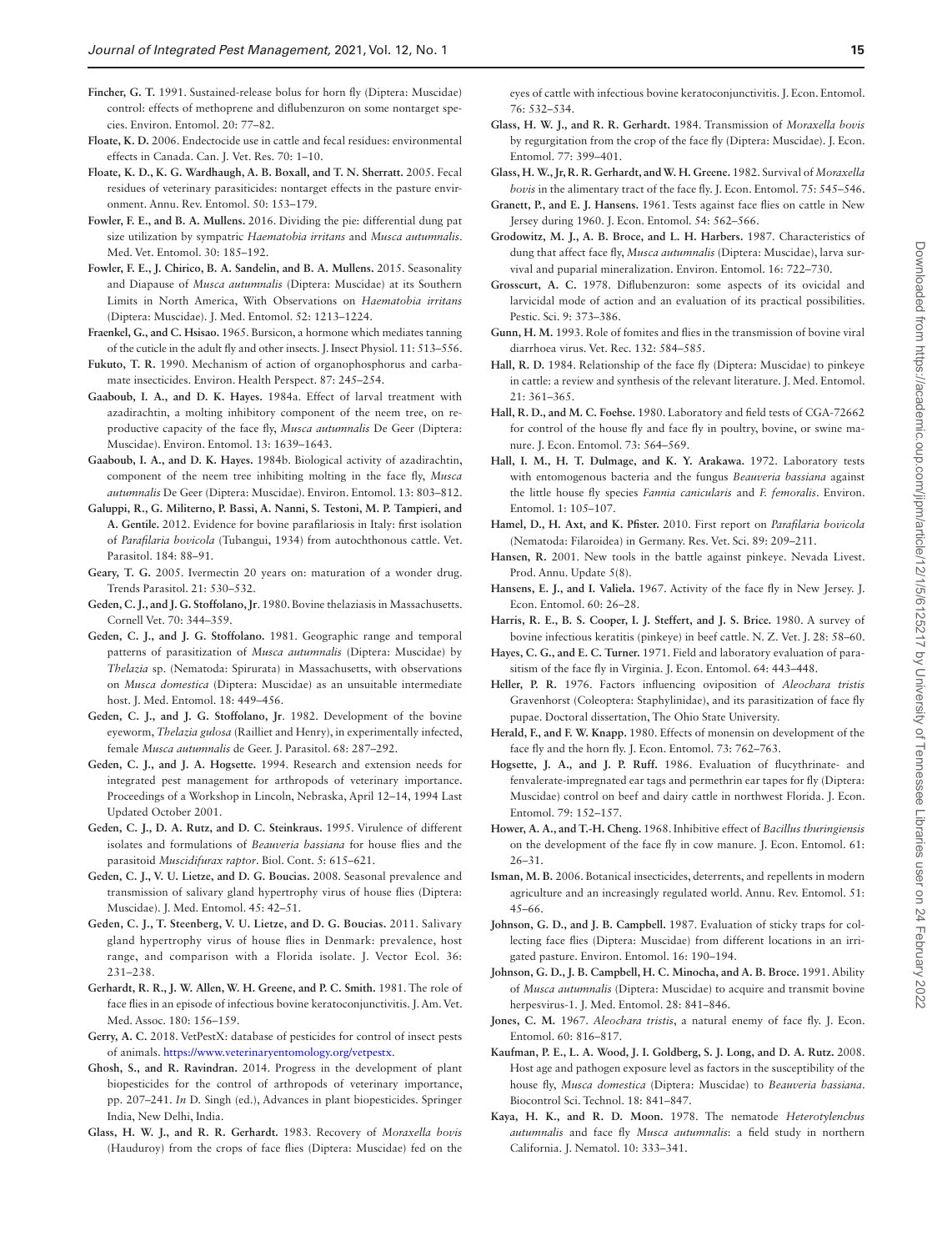<span id="page-14-40"></span>**Fincher, G. T.** 1991. Sustained-release bolus for horn fly (Diptera: Muscidae) control: effects of methoprene and diflubenzuron on some nontarget species. Environ. Entomol. 20: 77–82.

- <span id="page-14-20"></span>**Floate, K. D.** 2006. Endectocide use in cattle and fecal residues: environmental effects in Canada. Can. J. Vet. Res. 70: 1–10.
- <span id="page-14-41"></span>**Floate, K. D., K. G. Wardhaugh, A. B. Boxall, and T. N. Sherratt.** 2005. Fecal residues of veterinary parasiticides: nontarget effects in the pasture environment. Annu. Rev. Entomol. 50: 153–179.
- <span id="page-14-26"></span>**Fowler, F. E., and B. A. Mullens.** 2016. Dividing the pie: differential dung pat size utilization by sympatric *Haematobia irritans* and *Musca autumnalis*. Med. Vet. Entomol. 30: 185–192.
- <span id="page-14-2"></span>**Fowler, F. E., J. Chirico, B. A. Sandelin, and B. A. Mullens.** 2015. Seasonality and Diapause of *Musca autumnalis* (Diptera: Muscidae) at its Southern Limits in North America, With Observations on *Haematobia irritans* (Diptera: Muscidae). J. Med. Entomol. 52: 1213–1224.
- <span id="page-14-0"></span>**Fraenkel, G., and C. Hsisao.** 1965. Bursicon, a hormone which mediates tanning of the cuticle in the adult fly and other insects. J. Insect Physiol. 11: 513–556.
- <span id="page-14-42"></span>**Fukuto, T. R.** 1990. Mechanism of action of organophosphorus and carbamate insecticides. Environ. Health Perspect. 87: 245–254.
- <span id="page-14-24"></span>**Gaaboub, I. A., and D. K. Hayes.** 1984a. Effect of larval treatment with azadirachtin, a molting inhibitory component of the neem tree, on reproductive capacity of the face fly, *Musca autumnalis* De Geer (Diptera: Muscidae). Environ. Entomol. 13: 1639–1643.
- <span id="page-14-44"></span>**Gaaboub, I. A., and D. K. Hayes.** 1984b. Biological activity of azadirachtin, component of the neem tree inhibiting molting in the face fly, *Musca autumnalis* De Geer (Diptera: Muscidae). Environ. Entomol. 13: 803–812.
- <span id="page-14-15"></span>**Galuppi, R., G. Militerno, P. Bassi, A. Nanni, S. Testoni, M. P. Tampieri, and A. Gentile.** 2012. Evidence for bovine parafilariosis in Italy: first isolation of *Parafilaria bovicola* (Tubangui, 1934) from autochthonous cattle. Vet. Parasitol. 184: 88–91.
- <span id="page-14-23"></span>**Geary, T. G.** 2005. Ivermectin 20 years on: maturation of a wonder drug. Trends Parasitol. 21: 530–532.
- <span id="page-14-11"></span>**Geden, C. J., and J. G. Stoffolano, Jr**. 1980. Bovine thelaziasis in Massachusetts. Cornell Vet. 70: 344–359.
- <span id="page-14-12"></span>**Geden, C. J., and J. G. Stoffolano.** 1981. Geographic range and temporal patterns of parasitization of *Musca autumnalis* (Diptera: Muscidae) by *Thelazia* sp. (Nematoda: Spirurata) in Massachusetts, with observations on *Musca domestica* (Diptera: Muscidae) as an unsuitable intermediate host. J. Med. Entomol. 18: 449–456.
- <span id="page-14-13"></span>**Geden, C. J., and J. G. Stoffolano, Jr**. 1982. Development of the bovine eyeworm, *Thelazia gulosa* (Railliet and Henry), in experimentally infected, female *Musca autumnalis* de Geer. J. Parasitol. 68: 287–292.
- <span id="page-14-45"></span>**Geden, C. J., and J. A. Hogsette.** 1994. Research and extension needs for integrated pest management for arthropods of veterinary importance. Proceedings of a Workshop in Lincoln, Nebraska, April 12–14, 1994 Last Updated October 2001.
- <span id="page-14-34"></span>**Geden, C. J., D. A. Rutz, and D. C. Steinkraus.** 1995. Virulence of different isolates and formulations of *Beauveria bassiana* for house flies and the parasitoid *Muscidifurax raptor*. Biol. Cont. 5: 615–621.
- <span id="page-14-31"></span>**Geden, C. J., V. U. Lietze, and D. G. Boucias.** 2008. Seasonal prevalence and transmission of salivary gland hypertrophy virus of house flies (Diptera: Muscidae). J. Med. Entomol. 45: 42–51.
- <span id="page-14-30"></span>**Geden, C. J., T. Steenberg, V. U. Lietze, and D. G. Boucias.** 2011. Salivary gland hypertrophy virus of house flies in Denmark: prevalence, host range, and comparison with a Florida isolate. J. Vector Ecol. 36: 231–238.
- <span id="page-14-4"></span>**Gerhardt, R. R., J. W. Allen, W. H. Greene, and P. C. Smith.** 1981. The role of face flies in an episode of infectious bovine keratoconjunctivitis. J. Am. Vet. Med. Assoc. 180: 156–159.
- <span id="page-14-39"></span>**Gerry, A. C.** 2018. VetPestX: database of pesticides for control of insect pests of animals.<https://www.veterinaryentomology.org/vetpestx>.
- <span id="page-14-21"></span>**Ghosh, S., and R. Ravindran.** 2014. Progress in the development of plant biopesticides for the control of arthropods of veterinary importance, pp. 207–241. *In* D. Singh (ed.), Advances in plant biopesticides. Springer India, New Delhi, India.
- <span id="page-14-8"></span>**Glass, H. W. J., and R. R. Gerhardt.** 1983. Recovery of *Moraxella bovis* (Hauduroy) from the crops of face flies (Diptera: Muscidae) fed on the

eyes of cattle with infectious bovine keratoconjunctivitis. J. Econ. Entomol. 76: 532–534.

- <span id="page-14-6"></span>**Glass, H. W. J., and R. R. Gerhardt.** 1984. Transmission of *Moraxella bovis* by regurgitation from the crop of the face fly (Diptera: Muscidae). J. Econ. Entomol. 77: 399–401.
- <span id="page-14-5"></span>**Glass, H. W., Jr, R. R. Gerhardt, and W. H. Greene.** 1982. Survival of *Moraxella bovis* in the alimentary tract of the face fly. J. Econ. Entomol. 75: 545–546.
- <span id="page-14-43"></span>**Granett, P., and E. J. Hansens.** 1961. Tests against face flies on cattle in New Jersey during 1960. J. Econ. Entomol. 54: 562–566.
- <span id="page-14-1"></span>**Grodowitz, M. J., A. B. Broce, and L. H. Harbers.** 1987. Characteristics of dung that affect face fly, *Musca autumnalis* (Diptera: Muscidae), larva survival and puparial mineralization. Environ. Entomol. 16: 722–730.
- <span id="page-14-22"></span>**Grosscurt, A. C.** 1978. Diflubenzuron: some aspects of its ovicidal and larvicidal mode of action and an evaluation of its practical possibilities. Pestic. Sci. 9: 373–386.
- <span id="page-14-16"></span>**Gunn, H. M.** 1993. Role of fomites and flies in the transmission of bovine viral diarrhoea virus. Vet. Rec. 132: 584–585.
- <span id="page-14-3"></span>**Hall, R. D.** 1984. Relationship of the face fly (Diptera: Muscidae) to pinkeye in cattle: a review and synthesis of the relevant literature. J. Med. Entomol. 21: 361–365.
- <span id="page-14-36"></span>**Hall, R. D., and M. C. Foehse.** 1980. Laboratory and field tests of CGA-72662 for control of the house fly and face fly in poultry, bovine, or swine manure. J. Econ. Entomol. 73: 564–569.
- <span id="page-14-33"></span>**Hall, I. M., H. T. Dulmage, and K. Y. Arakawa.** 1972. Laboratory tests with entomogenous bacteria and the fungus *Beauveria bassiana* against the little house fly species *Fannia canicularis* and *F. femoralis*. Environ. Entomol. 1: 105–107.
- <span id="page-14-14"></span>**Hamel, D., H. Axt, and K. Pfister.** 2010. First report on *Parafilaria bovicola* (Nematoda: Filaroidea) in Germany. Res. Vet. Sci. 89: 209–211.
- <span id="page-14-9"></span>**Hansen, R.** 2001. New tools in the battle against pinkeye. Nevada Livest. Prod. Annu. Update 5(8).
- <span id="page-14-17"></span>**Hansens, E. J., and I. Valiela.** 1967. Activity of the face fly in New Jersey. J. Econ. Entomol. 60: 26–28.
- <span id="page-14-10"></span>**Harris, R. E., B. S. Cooper, I. J. Steffert, and J. S. Brice.** 1980. A survey of bovine infectious keratitis (pinkeye) in beef cattle. N. Z. Vet. J. 28: 58–60.
- <span id="page-14-27"></span>**Hayes, C. G., and E. C. Turner.** 1971. Field and laboratory evaluation of parasitism of the face fly in Virginia. J. Econ. Entomol. 64: 443–448.
- <span id="page-14-29"></span>**Heller, P. R.** 1976. Factors influencing oviposition of *Aleochara tristis* Gravenhorst (Coleoptera: Staphylinidae), and its parasitization of face fly pupae. Doctoral dissertation, The Ohio State University.
- <span id="page-14-37"></span>**Herald, F., and F. W. Knapp.** 1980. Effects of monensin on development of the face fly and the horn fly. J. Econ. Entomol. 73: 762–763.
- <span id="page-14-38"></span>**Hogsette, J. A., and J. P. Ruff.** 1986. Evaluation of flucythrinate- and fenvalerate-impregnated ear tags and permethrin ear tapes for fly (Diptera: Muscidae) control on beef and dairy cattle in northwest Florida. J. Econ. Entomol. 79: 152–157.
- <span id="page-14-32"></span>**Hower, A. A., and T.-H. Cheng.** 1968. Inhibitive effect of *Bacillus thuringiensis* on the development of the face fly in cow manure. J. Econ. Entomol. 61: 26–31.
- <span id="page-14-25"></span>**Isman, M. B.** 2006. Botanical insecticides, deterrents, and repellents in modern agriculture and an increasingly regulated world. Annu. Rev. Entomol. 51: 45–66.
- <span id="page-14-19"></span>**Johnson, G. D., and J. B. Campbell.** 1987. Evaluation of sticky traps for collecting face flies (Diptera: Muscidae) from different locations in an irrigated pasture. Environ. Entomol. 16: 190–194.
- <span id="page-14-7"></span>**Johnson, G. D., J. B. Campbell, H. C. Minocha, and A. B. Broce.** 1991. Ability of *Musca autumnalis* (Diptera: Muscidae) to acquire and transmit bovine herpesvirus-1. J. Med. Entomol. 28: 841–846.
- <span id="page-14-28"></span>**Jones, C. M.** 1967. *Aleochara tristis*, a natural enemy of face fly. J. Econ. Entomol. 60: 816–817.
- <span id="page-14-35"></span>**Kaufman, P. E., L. A. Wood, J. I. Goldberg, S. J. Long, and D. A. Rutz.** 2008. Host age and pathogen exposure level as factors in the susceptibility of the house fly, *Musca domestica* (Diptera: Muscidae) to *Beauveria bassiana*. Biocontrol Sci. Technol. 18: 841–847.
- <span id="page-14-18"></span>**Kaya, H. K., and R. D. Moon.** 1978. The nematode *Heterotylenchus autumnalis* and face fly *Musca autumnalis*: a field study in northern California. J. Nematol. 10: 333–341.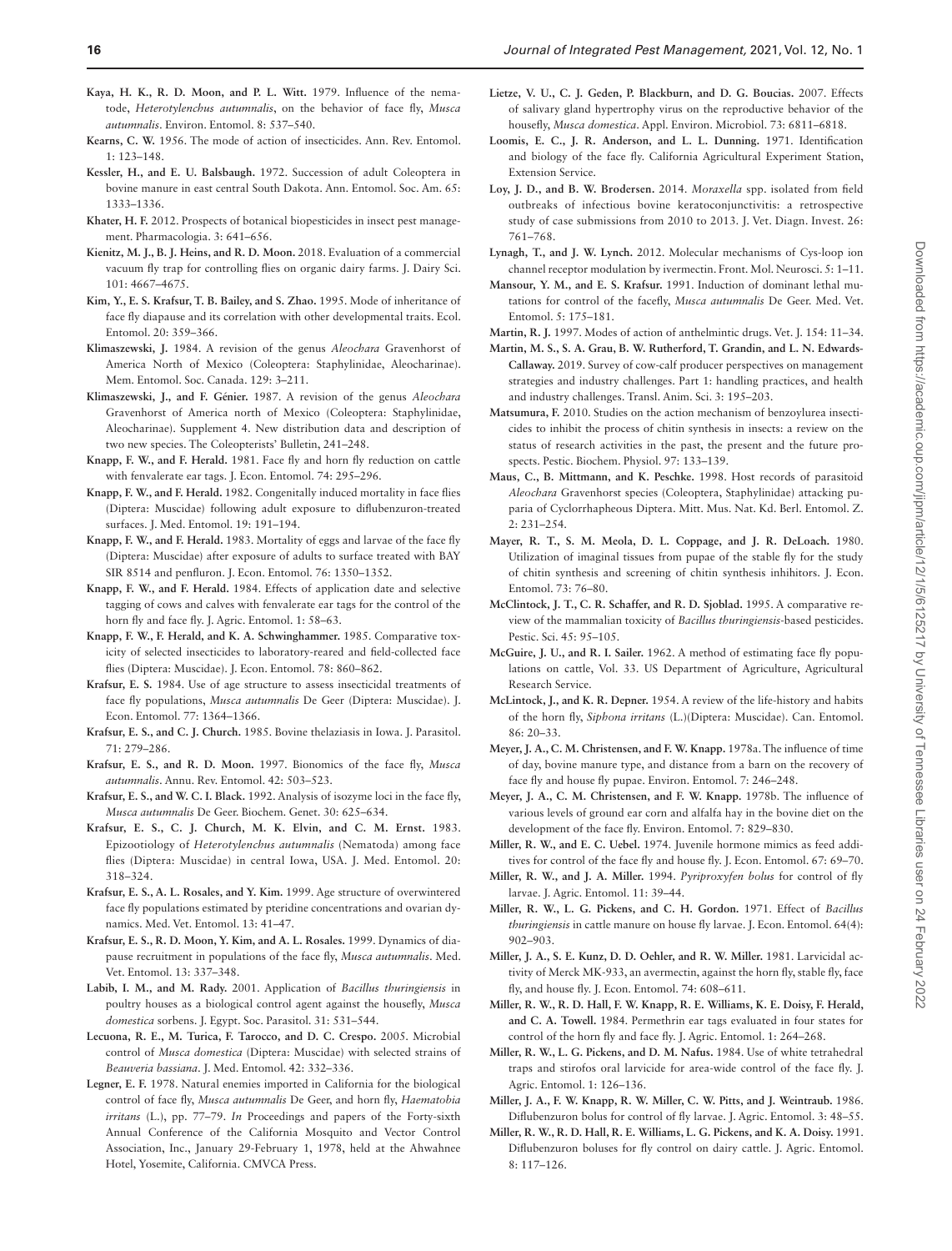- <span id="page-15-31"></span>**Kaya, H. K., R. D. Moon, and P. L. Witt.** 1979. Influence of the nematode, *Heterotylenchus autumnalis*, on the behavior of face fly, *Musca autumnalis*. Environ. Entomol. 8: 537–540.
- <span id="page-15-17"></span>**Kearns, C. W.** 1956. The mode of action of insecticides. Ann. Rev. Entomol. 1: 123–148.
- <span id="page-15-15"></span>**Kessler, H., and E. U. Balsbaugh.** 1972. Succession of adult Coleoptera in bovine manure in east central South Dakota. Ann. Entomol. Soc. Am. 65: 1333–1336.
- <span id="page-15-22"></span>**Khater, H. F.** 2012. Prospects of botanical biopesticides in insect pest management. Pharmacologia. 3: 641–656.
- <span id="page-15-13"></span>**Kienitz, M. J., B. J. Heins, and R. D. Moon.** 2018. Evaluation of a commercial vacuum fly trap for controlling flies on organic dairy farms. J. Dairy Sci. 101: 4667–4675.
- <span id="page-15-43"></span>**Kim, Y., E. S. Krafsur, T. B. Bailey, and S. Zhao.** 1995. Mode of inheritance of face fly diapause and its correlation with other developmental traits. Ecol. Entomol. 20: 359–366.
- <span id="page-15-23"></span>**Klimaszewski, J.** 1984. A revision of the genus *Aleochara* Gravenhorst of America North of Mexico (Coleoptera: Staphylinidae, Aleocharinae). Mem. Entomol. Soc. Canada. 129: 3–211.
- <span id="page-15-25"></span>**Klimaszewski, J., and F. Génier.** 1987. A revision of the genus *Aleochara* Gravenhorst of America north of Mexico (Coleoptera: Staphylinidae, Aleocharinae). Supplement 4. New distribution data and description of two new species. The Coleopterists' Bulletin, 241–248.
- <span id="page-15-36"></span>**Knapp, F. W., and F. Herald.** 1981. Face fly and horn fly reduction on cattle with fenvalerate ear tags. J. Econ. Entomol. 74: 295–296.
- <span id="page-15-37"></span>**Knapp, F. W., and F. Herald.** 1982. Congenitally induced mortality in face flies (Diptera: Muscidae) following adult exposure to diflubenzuron-treated surfaces. J. Med. Entomol. 19: 191–194.
- <span id="page-15-38"></span>**Knapp, F. W., and F. Herald.** 1983. Mortality of eggs and larvae of the face fly (Diptera: Muscidae) after exposure of adults to surface treated with BAY SIR 8514 and penfluron. J. Econ. Entomol. 76: 1350–1352.
- <span id="page-15-8"></span>**Knapp, F. W., and F. Herald.** 1984. Effects of application date and selective tagging of cows and calves with fenvalerate ear tags for the control of the horn fly and face fly. J. Agric. Entomol. 1: 58–63.
- <span id="page-15-40"></span>**Knapp, F. W., F. Herald, and K. A. Schwinghammer.** 1985. Comparative toxicity of selected insecticides to laboratory-reared and field-collected face flies (Diptera: Muscidae). J. Econ. Entomol. 78: 860–862.
- <span id="page-15-39"></span>**Krafsur, E. S.** 1984. Use of age structure to assess insecticidal treatments of face fly populations, *Musca autumnalis* De Geer (Diptera: Muscidae). J. Econ. Entomol. 77: 1364–1366.
- <span id="page-15-10"></span>**Krafsur, E. S., and C. J. Church.** 1985. Bovine thelaziasis in Iowa. J. Parasitol. 71: 279–286.
- <span id="page-15-2"></span>**Krafsur, E. S., and R. D. Moon.** 1997. Bionomics of the face fly, *Musca autumnalis*. Annu. Rev. Entomol. 42: 503–523.
- <span id="page-15-6"></span>**Krafsur, E. S., and W. C. I. Black.** 1992. Analysis of isozyme loci in the face fly, *Musca autumnalis* De Geer. Biochem. Genet. 30: 625–634.
- <span id="page-15-32"></span>**Krafsur, E. S., C. J. Church, M. K. Elvin, and C. M. Ernst.** 1983. Epizootiology of *Heterotylenchus autumnalis* (Nematoda) among face flies (Diptera: Muscidae) in central Iowa, USA. J. Med. Entomol. 20: 318–324.
- <span id="page-15-4"></span>**Krafsur, E. S., A. L. Rosales, and Y. Kim.** 1999. Age structure of overwintered face fly populations estimated by pteridine concentrations and ovarian dynamics. Med. Vet. Entomol. 13: 41–47.
- <span id="page-15-3"></span>**Krafsur, E. S., R. D. Moon, Y. Kim, and A. L. Rosales.** 1999. Dynamics of diapause recruitment in populations of the face fly, *Musca autumnalis*. Med. Vet. Entomol. 13: 337–348.
- <span id="page-15-29"></span>**Labib, I. M., and M. Rady.** 2001. Application of *Bacillus thuringiensis* in poultry houses as a biological control agent against the housefly, *Musca domestica* sorbens. J. Egypt. Soc. Parasitol. 31: 531–544.
- <span id="page-15-30"></span>**Lecuona, R. E., M. Turica, F. Tarocco, and D. C. Crespo.** 2005. Microbial control of *Musca domestica* (Diptera: Muscidae) with selected strains of *Beauveria bassiana*. J. Med. Entomol. 42: 332–336.
- <span id="page-15-16"></span>**Legner, E. F.** 1978. Natural enemies imported in California for the biological control of face fly, *Musca autumnalis* De Geer, and horn fly, *Haematobia irritans* (L.), pp. 77–79. *In* Proceedings and papers of the Forty-sixth Annual Conference of the California Mosquito and Vector Control Association, Inc., January 29-February 1, 1978, held at the Ahwahnee Hotel, Yosemite, California. CMVCA Press.
- <span id="page-15-26"></span>**Lietze, V. U., C. J. Geden, P. Blackburn, and D. G. Boucias.** 2007. Effects of salivary gland hypertrophy virus on the reproductive behavior of the housefly, *Musca domestica*. Appl. Environ. Microbiol. 73: 6811–6818.
- <span id="page-15-5"></span>**Loomis, E. C., J. R. Anderson, and L. L. Dunning.** 1971. Identification and biology of the face fly. California Agricultural Experiment Station, Extension Service.
- <span id="page-15-7"></span>**Loy, J. D., and B. W. Brodersen.** 2014. *Moraxella* spp. isolated from field outbreaks of infectious bovine keratoconjunctivitis: a retrospective study of case submissions from 2010 to 2013. J. Vet. Diagn. Invest. 26: 761–768.
- <span id="page-15-21"></span>**Lynagh, T., and J. W. Lynch.** 2012. Molecular mechanisms of Cys-loop ion channel receptor modulation by ivermectin. Front. Mol. Neurosci. 5: 1–11.
- <span id="page-15-44"></span>**Mansour, Y. M., and E. S. Krafsur.** 1991. Induction of dominant lethal mutations for control of the facefly, *Musca autumnalis* De Geer. Med. Vet. Entomol. 5: 175–181.
- <span id="page-15-20"></span>**Martin, R. J.** 1997. Modes of action of anthelmintic drugs. Vet. J. 154: 11–34.
- <span id="page-15-9"></span>**Martin, M. S., S. A. Grau, B. W. Rutherford, T. Grandin, and L. N. Edwards-Callaway.** 2019. Survey of cow-calf producer perspectives on management strategies and industry challenges. Part 1: handling practices, and health and industry challenges. Transl. Anim. Sci. 3: 195–203.
- <span id="page-15-19"></span>**Matsumura, F.** 2010. Studies on the action mechanism of benzoylurea insecticides to inhibit the process of chitin synthesis in insects: a review on the status of research activities in the past, the present and the future prospects. Pestic. Biochem. Physiol. 97: 133–139.
- <span id="page-15-24"></span>**Maus, C., B. Mittmann, and K. Peschke.** 1998. Host records of parasitoid *Aleochara* Gravenhorst species (Coleoptera, Staphylinidae) attacking puparia of Cyclorrhapheous Diptera. Mitt. Mus. Nat. Kd. Berl. Entomol. Z. 2: 231–254.
- <span id="page-15-18"></span>**Mayer, R. T., S. M. Meola, D. L. Coppage, and J. R. DeLoach.** 1980. Utilization of imaginal tissues from pupae of the stable fly for the study of chitin synthesis and screening of chitin synthesis inhihitors. J. Econ. Entomol. 73: 76–80.
- <span id="page-15-28"></span>**McClintock, J. T., C. R. Schaffer, and R. D. Sjoblad.** 1995. A comparative review of the mammalian toxicity of *Bacillus thuringiensis*-based pesticides. Pestic. Sci. 45: 95–105.
- <span id="page-15-11"></span>**McGuire, J. U., and R. I. Sailer.** 1962. A method of estimating face fly populations on cattle, Vol. 33. US Department of Agriculture, Agricultural Research Service.
- <span id="page-15-14"></span>**McLintock, J., and K. R. Depner.** 1954. A review of the life-history and habits of the horn fly, *Siphona irritans* (L.)(Diptera: Muscidae). Can. Entomol. 86: 20–33.
- <span id="page-15-0"></span>**Meyer, J. A., C. M. Christensen, and F. W. Knapp.** 1978a. The influence of time of day, bovine manure type, and distance from a barn on the recovery of face fly and house fly pupae. Environ. Entomol. 7: 246–248.
- <span id="page-15-1"></span>**Meyer, J. A., C. M. Christensen, and F. W. Knapp.** 1978b. The influence of various levels of ground ear corn and alfalfa hay in the bovine diet on the development of the face fly. Environ. Entomol. 7: 829–830.
- <span id="page-15-42"></span>**Miller, R. W., and E. C. Uebel.** 1974. Juvenile hormone mimics as feed additives for control of the face fly and house fly. J. Econ. Entomol. 67: 69–70.
- <span id="page-15-41"></span>**Miller, R. W., and J. A. Miller.** 1994. *Pyriproxyfen bolus* for control of fly larvae. J. Agric. Entomol. 11: 39–44.
- <span id="page-15-27"></span>**Miller, R. W., L. G. Pickens, and C. H. Gordon.** 1971. Effect of *Bacillus thuringiensis* in cattle manure on house fly larvae. J. Econ. Entomol. 64(4): 902–903.
- <span id="page-15-33"></span>**Miller, J. A., S. E. Kunz, D. D. Oehler, and R. W. Miller.** 1981. Larvicidal activity of Merck MK-933, an avermectin, against the horn fly, stable fly, face fly, and house fly. J. Econ. Entomol. 74: 608–611.
- **Miller, R. W., R. D. Hall, F. W. Knapp, R. E. Williams, K. E. Doisy, F. Herald, and C. A. Towell.** 1984. Permethrin ear tags evaluated in four states for control of the horn fly and face fly. J. Agric. Entomol. 1: 264–268.
- <span id="page-15-12"></span>**Miller, R. W., L. G. Pickens, and D. M. Nafus.** 1984. Use of white tetrahedral traps and stirofos oral larvicide for area-wide control of the face fly. J. Agric. Entomol. 1: 126–136.
- <span id="page-15-34"></span>**Miller, J. A., F. W. Knapp, R. W. Miller, C. W. Pitts, and J. Weintraub.** 1986. Diflubenzuron bolus for control of fly larvae. J. Agric. Entomol. 3: 48–55.
- <span id="page-15-35"></span>**Miller, R. W., R. D. Hall, R. E. Williams, L. G. Pickens, and K. A. Doisy.** 1991. Diflubenzuron boluses for fly control on dairy cattle. J. Agric. Entomol. 8: 117–126.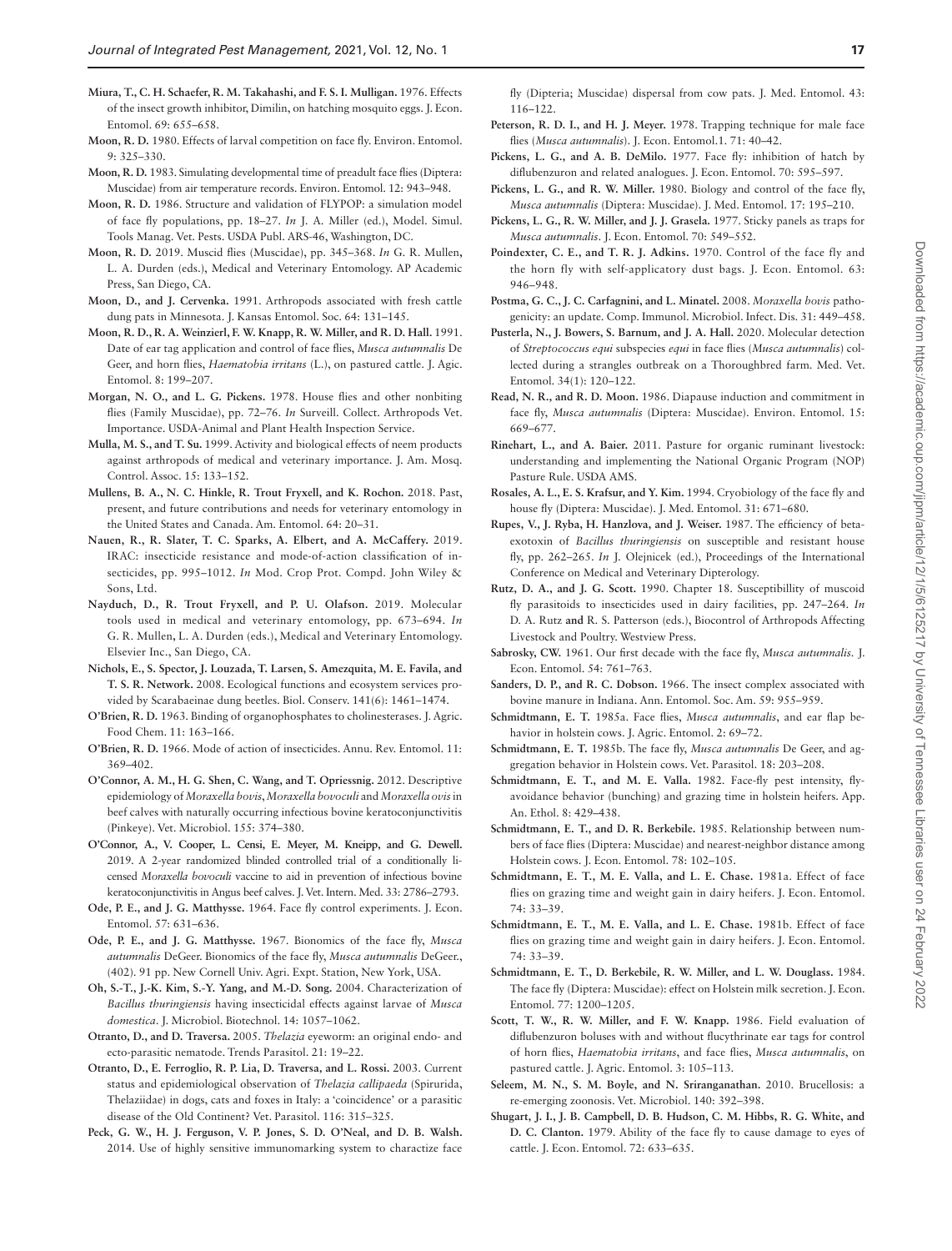<span id="page-16-29"></span>**Miura, T., C. H. Schaefer, R. M. Takahashi, and F. S. I. Mulligan.** 1976. Effects of the insect growth inhibitor, Dimilin, on hatching mosquito eggs. J. Econ. Entomol. 69: 655–658.

- <span id="page-16-33"></span>**Moon, R. D.** 1980. Effects of larval competition on face fly. Environ. Entomol. 9: 325–330.
- <span id="page-16-0"></span>**Moon, R. D.** 1983. Simulating developmental time of preadult face flies (Diptera: Muscidae) from air temperature records. Environ. Entomol. 12: 943–948.
- <span id="page-16-1"></span>**Moon, R. D.** 1986. Structure and validation of FLYPOP: a simulation model of face fly populations, pp. 18–27. *In* J. A. Miller (ed.), Model. Simul. Tools Manag. Vet. Pests. USDA Publ. ARS-46, Washington, DC.
- <span id="page-16-6"></span>**Moon, R. D.** 2019. Muscid flies (Muscidae), pp. 345–368. *In* G. R. Mullen**,**  L. A. Durden (eds.), Medical and Veterinary Entomology. AP Academic Press, San Diego, CA.
- <span id="page-16-35"></span>**Moon, D., and J. Cervenka.** 1991. Arthropods associated with fresh cattle dung pats in Minnesota. J. Kansas Entomol. Soc. 64: 131–145.
- <span id="page-16-39"></span>**Moon, R. D., R. A. Weinzierl, F. W. Knapp, R. W. Miller, and R. D. Hall.** 1991. Date of ear tag application and control of face flies, *Musca autumnalis* De Geer, and horn flies, *Haematobia irritans* (L.), on pastured cattle. J. Agic. Entomol. 8: 199–207.
- <span id="page-16-42"></span>**Morgan, N. O., and L. G. Pickens.** 1978. House flies and other nonbiting flies (Family Muscidae), pp. 72–76. *In* Surveill. Collect. Arthropods Vet. Importance. USDA-Animal and Plant Health Inspection Service.
- <span id="page-16-30"></span>**Mulla, M. S., and T. Su.** 1999. Activity and biological effects of neem products against arthropods of medical and veterinary importance. J. Am. Mosq. Control. Assoc. 15: 133–152.
- <span id="page-16-45"></span>**Mullens, B. A., N. C. Hinkle, R. Trout Fryxell, and K. Rochon.** 2018. Past, present, and future contributions and needs for veterinary entomology in the United States and Canada. Am. Entomol. 64: 20–31.
- <span id="page-16-31"></span>**Nauen, R., R. Slater, T. C. Sparks, A. Elbert, and A. McCaffery.** 2019. IRAC: insecticide resistance and mode-of-action classification of insecticides, pp. 995–1012. *In* Mod. Crop Prot. Compd. John Wiley & Sons, Ltd.
- <span id="page-16-10"></span>**Nayduch, D., R. Trout Fryxell, and P. U. Olafson.** 2019. Molecular tools used in medical and veterinary entomology, pp. 673–694. *In* G. R. Mullen**,** L. A. Durden (eds.), Medical and Veterinary Entomology. Elsevier Inc., San Diego, CA.
- <span id="page-16-32"></span>**Nichols, E., S. Spector, J. Louzada, T. Larsen, S. Amezquita, M. E. Favila, and T. S. R. Network.** 2008. Ecological functions and ecosystem services provided by Scarabaeinae dung beetles. Biol. Conserv. 141(6): 1461–1474.
- <span id="page-16-27"></span>**O'Brien, R. D.** 1963. Binding of organophosphates to cholinesterases. J. Agric. Food Chem. 11: 163–166.
- <span id="page-16-28"></span>**O'Brien, R. D.** 1966. Mode of action of insecticides. Annu. Rev. Entomol. 11: 369–402.
- <span id="page-16-5"></span>**O'Connor, A. M., H. G. Shen, C. Wang, and T. Opriessnig.** 2012. Descriptive epidemiology of *Moraxella bovis*, *Moraxella bovoculi* and *Moraxella ovis* in beef calves with naturally occurring infectious bovine keratoconjunctivitis (Pinkeye). Vet. Microbiol. 155: 374–380.
- **O'Connor, A., V. Cooper, L. Censi, E. Meyer, M. Kneipp, and G. Dewell.**  2019. A 2-year randomized blinded controlled trial of a conditionally licensed *Moraxella bovoculi* vaccine to aid in prevention of infectious bovine keratoconjunctivitis in Angus beef calves. J. Vet. Intern. Med. 33: 2786–2793.
- <span id="page-16-40"></span>**Ode, P. E., and J. G. Matthysse.** 1964. Face fly control experiments. J. Econ. Entomol. 57: 631–636.
- <span id="page-16-22"></span>**Ode, P. E., and J. G. Matthysse.** 1967. Bionomics of the face fly, *Musca autumnalis* DeGeer. Bionomics of the face fly, *Musca autumnalis* DeGeer., (402). 91 pp. New Cornell Univ. Agri. Expt. Station, New York, USA.
- <span id="page-16-37"></span>**Oh, S.-T., J.-K. Kim, S.-Y. Yang, and M.-D. Song.** 2004. Characterization of *Bacillus thuringiensis* having insecticidal effects against larvae of *Musca domestica*. J. Microbiol. Biotechnol. 14: 1057–1062.
- <span id="page-16-14"></span>**Otranto, D., and D. Traversa.** 2005. *Thelazia* eyeworm: an original endo- and ecto-parasitic nematode. Trends Parasitol. 21: 19–22.
- <span id="page-16-13"></span>**Otranto, D., E. Ferroglio, R. P. Lia, D. Traversa, and L. Rossi.** 2003. Current status and epidemiological observation of *Thelazia callipaeda* (Spirurida, Thelaziidae) in dogs, cats and foxes in Italy: a 'coincidence' or a parasitic disease of the Old Continent? Vet. Parasitol. 116: 315–325.
- <span id="page-16-44"></span>**Peck, G. W., H. J. Ferguson, V. P. Jones, S. D. O'Neal, and D. B. Walsh.**  2014. Use of highly sensitive immunomarking system to charactize face

fly (Dipteria; Muscidae) dispersal from cow pats. J. Med. Entomol. 43: 116–122.

- <span id="page-16-24"></span>**Peterson, R. D. I., and H. J. Meyer.** 1978. Trapping technique for male face flies (*Musca autumnalis*). J. Econ. Entomol.1. 71: 40–42.
- <span id="page-16-23"></span>**Pickens, L. G., and A. B. DeMilo.** 1977. Face fly: inhibition of hatch by diflubenzuron and related analogues. J. Econ. Entomol. 70: 595–597.
- <span id="page-16-4"></span>Pickens, L. G., and R. W. Miller. 1980. Biology and control of the face fly, *Musca autumnalis* (Diptera: Muscidae). J. Med. Entomol. 17: 195–210.
- <span id="page-16-25"></span>**Pickens, L. G., R. W. Miller, and J. J. Grasela.** 1977. Sticky panels as traps for *Musca autumnalis*. J. Econ. Entomol. 70: 549–552.
- <span id="page-16-41"></span>**Poindexter, C. E., and T. R. J. Adkins.** 1970. Control of the face fly and the horn fly with self-applicatory dust bags. J. Econ. Entomol. 63: 946–948.
- <span id="page-16-9"></span>**Postma, G. C., J. C. Carfagnini, and L. Minatel.** 2008. *Moraxella bovis* pathogenicity: an update. Comp. Immunol. Microbiol. Infect. Dis. 31: 449–458.
- <span id="page-16-12"></span>**Pusterla, N., J. Bowers, S. Barnum, and J. A. Hall.** 2020. Molecular detection of *Streptococcus equi* subspecies *equi* in face flies (*Musca autumnalis*) collected during a strangles outbreak on a Thoroughbred farm. Med. Vet. Entomol. 34(1): 120–122.
- <span id="page-16-2"></span>**Read, N. R., and R. D. Moon.** 1986. Diapause induction and commitment in face fly, *Musca autumnalis* (Diptera: Muscidae). Environ. Entomol. 15: 669–677.
- <span id="page-16-21"></span>**Rinehart, L., and A. Baier.** 2011. Pasture for organic ruminant livestock: understanding and implementing the National Organic Program (NOP) Pasture Rule. USDA AMS.
- <span id="page-16-3"></span>**Rosales, A. L., E. S. Krafsur, and Y. Kim.** 1994. Cryobiology of the face fly and house fly (Diptera: Muscidae). J. Med. Entomol. 31: 671–680.
- <span id="page-16-36"></span>**Rupes, V., J. Ryba, H. Hanzlova, and J. Weiser.** 1987. The efficiency of betaexotoxin of *Bacillus thuringiensis* on susceptible and resistant house fly, pp. 262–265. *In* J. Olejnicek (ed.), Proceedings of the International Conference on Medical and Veterinary Dipterology.
- <span id="page-16-26"></span>**Rutz, D. A., and J. G. Scott.** 1990. Chapter 18. Susceptibillity of muscoid fly parasitoids to insecticides used in dairy facilities, pp. 247–264. *In* D. A. Rutz **and** R. S. Patterson (eds.), Biocontrol of Arthropods Affecting Livestock and Poultry. Westview Press.
- <span id="page-16-43"></span>**Sabrosky, CW.** 1961. Our first decade with the face fly, *Musca autumnalis.* J. Econ. Entomol. 54: 761–763.
- <span id="page-16-34"></span>**Sanders, D. P., and R. C. Dobson.** 1966. The insect complex associated with bovine manure in Indiana. Ann. Entomol. Soc. Am. 59: 955–959.
- <span id="page-16-17"></span>**Schmidtmann, E. T.** 1985a. Face flies, *Musca autumnalis*, and ear flap behavior in holstein cows. J. Agric. Entomol. 2: 69–72.
- <span id="page-16-20"></span>**Schmidtmann, E. T.** 1985b. The face fly, *Musca autumnalis* De Geer, and aggregation behavior in Holstein cows. Vet. Parasitol. 18: 203–208.
- <span id="page-16-8"></span>Schmidtmann, E. T., and M. E. Valla. 1982. Face-fly pest intensity, flyavoidance behavior (bunching) and grazing time in holstein heifers. App. An. Ethol. 8: 429–438.
- <span id="page-16-18"></span>**Schmidtmann, E. T., and D. R. Berkebile.** 1985. Relationship between numbers of face flies (Diptera: Muscidae) and nearest-neighbor distance among Holstein cows. J. Econ. Entomol. 78: 102–105.
- <span id="page-16-15"></span>Schmidtmann, E. T., M. E. Valla, and L. E. Chase. 1981a. Effect of face flies on grazing time and weight gain in dairy heifers. J. Econ. Entomol. 74: 33–39.
- <span id="page-16-19"></span>Schmidtmann, E. T., M. E. Valla, and L. E. Chase. 1981b. Effect of face flies on grazing time and weight gain in dairy heifers. J. Econ. Entomol. 74: 33–39.
- <span id="page-16-16"></span>**Schmidtmann, E. T., D. Berkebile, R. W. Miller, and L. W. Douglass.** 1984. The face fly (Diptera: Muscidae): effect on Holstein milk secretion. J. Econ. Entomol. 77: 1200–1205.
- <span id="page-16-38"></span>**Scott, T. W., R. W. Miller, and F. W. Knapp.** 1986. Field evaluation of diflubenzuron boluses with and without flucythrinate ear tags for control of horn flies, *Haematobia irritans*, and face flies, *Musca autumnalis*, on pastured cattle. J. Agric. Entomol. 3: 105–113.
- <span id="page-16-11"></span>**Seleem, M. N., S. M. Boyle, and N. Sriranganathan.** 2010. Brucellosis: a re-emerging zoonosis. Vet. Microbiol. 140: 392–398.
- <span id="page-16-7"></span>**Shugart, J. I., J. B. Campbell, D. B. Hudson, C. M. Hibbs, R. G. White, and D. C. Clanton.** 1979. Ability of the face fly to cause damage to eyes of cattle. J. Econ. Entomol. 72: 633–635.